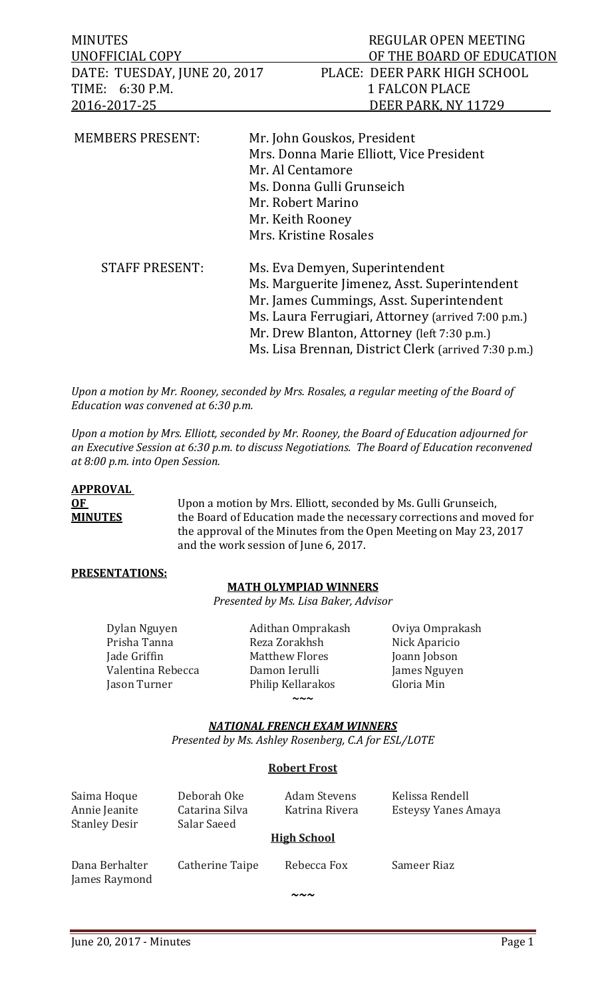| <b>MINUTES</b>               | REGULAR OPEN MEETING                               |
|------------------------------|----------------------------------------------------|
| UNOFFICIAL COPY              | OF THE BOARD OF EDUCATION                          |
| DATE: TUESDAY, JUNE 20, 2017 | PLACE: DEER PARK HIGH SCHOOL                       |
| TIME: 6:30 P.M.              | <b>1 FALCON PLACE</b>                              |
| <u>2016-2017-25</u>          | DEER PARK, NY 11729                                |
|                              |                                                    |
| <b>MEMBERS PRESENT:</b>      | Mr. John Gouskos, President                        |
|                              | Mrs. Donna Marie Elliott, Vice President           |
|                              | Mr. Al Centamore                                   |
|                              | Ms. Donna Gulli Grunseich                          |
|                              | Mr. Robert Marino                                  |
|                              | Mr. Keith Rooney                                   |
|                              | Mrs. Kristine Rosales                              |
| <b>STAFF PRESENT:</b>        | Ms. Eva Demyen, Superintendent                     |
|                              | Ms. Marguerite Jimenez, Asst. Superintendent       |
|                              | Mr. James Cummings, Asst. Superintendent           |
|                              | Ms. Laura Ferrugiari, Attorney (arrived 7:00 p.m.) |
|                              | Mr. Drew Blanton, Attorney (left 7:30 p.m.)        |

Ms. Lisa Brennan, District Clerk (arrived 7:30 p.m.)

*Upon a motion by Mr. Rooney, seconded by Mrs. Rosales, a regular meeting of the Board of Education was convened at 6:30 p.m.*

*Upon a motion by Mrs. Elliott, seconded by Mr. Rooney, the Board of Education adjourned for an Executive Session at 6:30 p.m. to discuss Negotiations. The Board of Education reconvened at 8:00 p.m. into Open Session.* 

## **APPROVAL**

**OF** Upon a motion by Mrs. Elliott, seconded by Ms. Gulli Grunseich,<br> **MINUTES** the Board of Education made the necessary corrections and mo the Board of Education made the necessary corrections and moved for the approval of the Minutes from the Open Meeting on May 23, 2017 and the work session of June 6, 2017.

## **PRESENTATIONS:**

## **MATH OLYMPIAD WINNERS**

*Presented by Ms. Lisa Baker, Advisor*

Dylan Nguyen Adithan Omprakash Oviya Omprakash

Prisha Tanna Reza Zorakhsh Nick Aparicio Matthew Flores Joann Jobson<br>Damon Ierulli James Nguyen Valentina Rebecca Damon Ierulli James Nguyen Philip Kellarakos

**~~~**

## *NATIONAL FRENCH EXAM WINNERS*

*Presented by Ms. Ashley Rosenberg, C.A for ESL/LOTE*

## **Robert Frost**

| Saima Hoque<br>Annie Jeanite<br><b>Stanley Desir</b> | Deborah Oke<br>Catarina Silva<br>Salar Saeed | <b>Adam Stevens</b><br>Katrina Rivera | Kelissa Rendell<br>Esteysy Yanes Amaya |
|------------------------------------------------------|----------------------------------------------|---------------------------------------|----------------------------------------|
|                                                      |                                              | <b>High School</b>                    |                                        |
| Dana Berhalter<br>James Raymond                      | Catherine Taipe                              | Rebecca Fox                           | Sameer Riaz                            |
|                                                      |                                              | 〜〜〜                                   |                                        |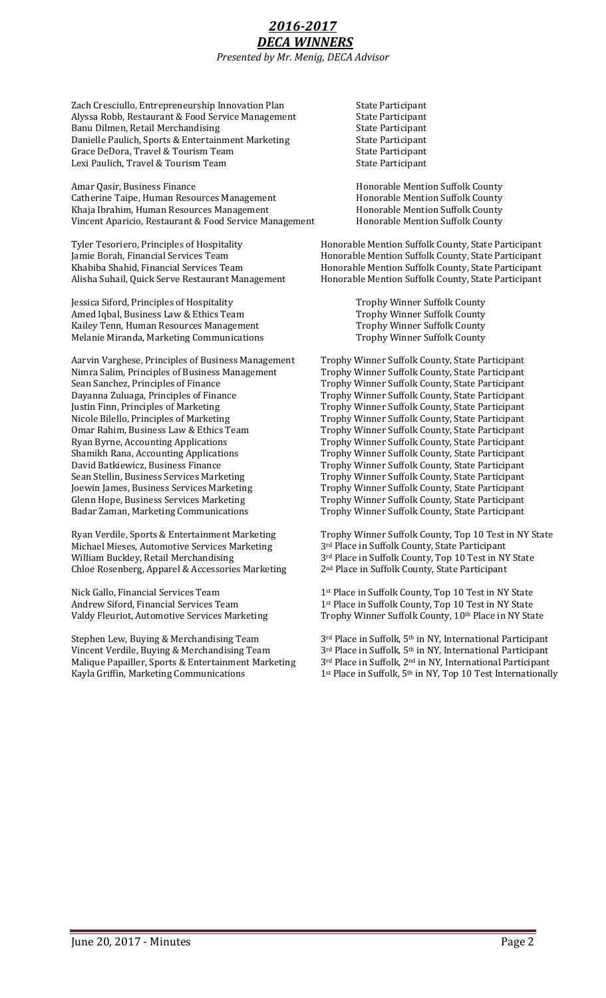## *2016-2017 DECA WINNERS Presented by Mr. Menig, DECA Advisor*

Zach Cresciullo, Entrepreneurship Innovation Plan State Participant<br>Alyssa Robb, Restaurant & Food Service Management State Participant Alyssa Robb, Restaurant & Food Service Management State Participant<br>Banu Dilmen, Retail Merchandising State Participant Banu Dilmen, Retail Merchandising<br>
Danielle Paulich, Sports & Entertainment Marketing<br>
State Participant Danielle Paulich, Sports & Entertainment Marketing State Participant<br>Grace DeDora, Travel & Tourism Team State Participant Grace DeDora, Travel & Tourism Team State Participant Lexi Paulich, Travel & Tourism Team

Amar Qasir, Business Finance **Honorable Mention Suffolk County**<br>
Catherine Taipe, Human Resources Management **Honorable Mention Suffolk County** Catherine Taipe, Human Resources Management Honorable Mention Suffolk County<br>
Khaja Ibrahim, Human Resources Management Honorable Mention Suffolk County Khaja Ibrahim, Human Resources Management Honorable Mention Suffolk County<br>Vincent Aparicio, Restaurant & Food Service Management Honorable Mention Suffolk County Vincent Aparicio, Restaurant & Food Service Management

Jessica Siford, Principles of Hospitality Trophy Winner Suffolk County Amed Iqbal, Business Law & Ethics Team Trophy Winner Suffolk County Kailey Tenn, Human Resources Management Trophy Winner Suffolk County Kailey Tenn, Human Resources Management Trophy Winner Suffolk County Melanie Miranda, Marketing Communications

Aarvin Varghese, Principles of Business Management Trophy Winner Suffolk County, State Participant Nimra Salim, Principles of Business Management Trophy Winner Suffolk County, State Participant Nimra Salim, Principles of Business Management<br>Sean Sanchez, Principles of Finance Sean Sanchez, Principles of Finance<br>
Dayanna Zuluaga, Principles of Finance<br>
Trophy Winner Suffolk County, State Participant Dayanna Zuluaga, Principles of Finance Trophy Winner Suffolk County, State Participant<br>Justin Finn, Principles of Marketing Trophy Winner Suffolk County, State Participant Justin Finn, Principles of Marketing Trophy Winner Suffolk County, State Participant<br>Nicole Bilello, Principles of Marketing Trophy Winner Suffolk County, State Participant Nicole Bilello, Principles of Marketing Trophy Winner Suffolk County, State Participant<br>
Omar Rahim, Business Law & Ethics Team Trophy Winner Suffolk County, State Participant Omar Rahim, Business Law & Ethics Team Trophy Winner Suffolk County, State Participant<br>
Ryan Byrne, Accounting Applications Trophy Winner Suffolk County, State Participant Ryan Byrne, Accounting Applications Trophy Winner Suffolk County, State Participant<br>
Shamikh Rana, Accounting Applications Trophy Winner Suffolk County, State Participant Shamikh Rana, Accounting Applications Trophy Winner Suffolk County, State Participant<br>David Batkiewicz, Business Finance Trophy Winner Suffolk County, State Participant David Batkiewicz, Business Finance Trophy Winner Suffolk County, State Participant<br>Sean Stellin, Business Services Marketing Trophy Winner Suffolk County, State Participant Sean Stellin, Business Services Marketing Trophy Winner Suffolk County, State Participant<br>Joewin James, Business Services Marketing Trophy Winner Suffolk County, State Participant Joewin James, Business Services Marketing Trophy Winner Suffolk County, State Participant<br>Glenn Hope, Business Services Marketing Trophy Winner Suffolk County, State Participant Glenn Hope, Business Services Marketing<br>
Badar Zaman, Marketing Communications<br>
Trophy Winner Suffolk County, State Participant

Michael Mieses, Automotive Services Marketing  $3<sup>rd</sup>$  Place in Suffolk County, State Participant William Buckley, Retail Merchandising  $3<sup>rd</sup>$  Place in Suffolk County, Top 10 Test in N Chloe Rosenberg, Apparel & Accessories Marketing

Malique Papailler, Sports & Entertainment Marketing  $3^{rd}$  Place in Suffolk,  $2^{nd}$  in NY, International Participant Kayla Griffin, Marketing Communications  $1^{st}$  Place in Suffolk,  $5^{th}$  in NY, Top 10 Test International

Tyler Tesoriero, Principles of Hospitality Honorable Mention Suffolk County, State Participant<br>
Jamie Borah, Financial Services Team Honorable Mention Suffolk County, State Participant Jamie Borah, Financial Services Team Honorable Mention Suffolk County, State Participant Khabiba Shahid, Financial Services Team Honorable Mention Suffolk County, State Participant<br>Alisha Suhail, Quick Serve Restaurant Management Honorable Mention Suffolk County, State Participant Honorable Mention Suffolk County, State Participant

Trophy Winner Suffolk County, State Participant

Ryan Verdile, Sports & Entertainment Marketing Trophy Winner Suffolk County, Top 10 Test in NY State<br>Michael Mieses, Automotive Services Marketing 3<sup>rd</sup> Place in Suffolk County, State Participant 3<sup>rd</sup> Place in Suffolk County, Top 10 Test in NY State 2<sup>nd</sup> Place in Suffolk County, State Participant

Nick Gallo, Financial Services Team  $1^{st}$  Place in Suffolk County, Top 10 Test in NY State Andrew Siford, Financial Services Team  $1^{st}$  Place in Suffolk County, Top 10 Test in NY State Andrew Siford, Financial Services Team 1<sup>st</sup> Place in Suffolk County, Top 10 Test in NY State<br>Valdy Fleuriot, Automotive Services Marketing 7rophy Winner Suffolk County, 10<sup>th</sup> Place in NY Sta Trophy Winner Suffolk County, 10<sup>th</sup> Place in NY State

Stephen Lew, Buying & Merchandising Team 3<sup>rd</sup> Place in Suffolk, 5<sup>th</sup> in NY, International Participant<br>Vincent Verdile, Buying & Merchandising Team 3<sup>rd</sup> Place in Suffolk, 5<sup>th</sup> in NY, International Participant Vincent Verdile, Buying & Merchandising Team 3<sup>rd</sup> Place in Suffolk, 5<sup>th</sup> in NY, International Participant<br>Malique Papailler, Sports & Entertainment Marketing 3<sup>rd</sup> Place in Suffolk, 2<sup>nd</sup> in NY, International Participant 1<sup>st</sup> Place in Suffolk, 5<sup>th</sup> in NY, Top 10 Test Internationally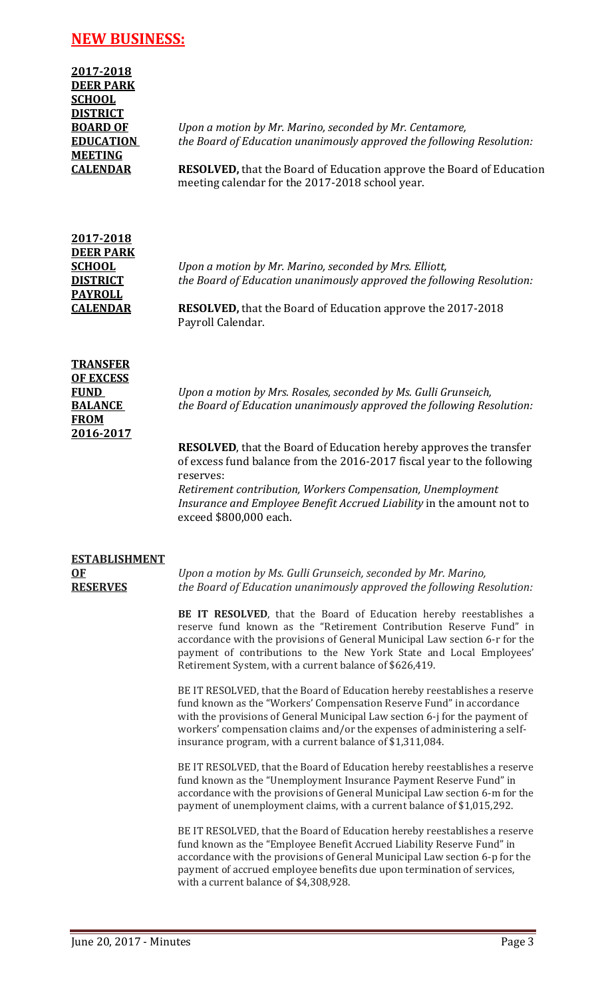# **NEW BUSINESS:**

| 2017-2018                     |                                                                                                                                |
|-------------------------------|--------------------------------------------------------------------------------------------------------------------------------|
| <b>DEER PARK</b>              |                                                                                                                                |
| <b>SCHOOL</b>                 |                                                                                                                                |
| <b>DISTRICT</b>               |                                                                                                                                |
| <b>BOARD OF</b>               | Upon a motion by Mr. Marino, seconded by Mr. Centamore,                                                                        |
| <b>EDUCATION</b>              | the Board of Education unanimously approved the following Resolution:                                                          |
| <b>MEETING</b>                |                                                                                                                                |
| <b>CALENDAR</b>               | <b>RESOLVED, that the Board of Education approve the Board of Education</b><br>meeting calendar for the 2017-2018 school year. |
| 2017-2018<br><b>DEER PARK</b> |                                                                                                                                |
| <b>SCHOOL</b>                 | Upon a motion by Mr. Marino, seconded by Mrs. Elliott,                                                                         |
| <b>DISTRICT</b>               | the Board of Education unanimously approved the following Resolution:                                                          |
| <b>PAYROLL</b>                |                                                                                                                                |

**CALENDAR RESOLVED,** that the Board of Education approve the 2017-2018 Payroll Calendar.

# **TRANSFER OF EXCESS FROM 2016-2017**

**FUND** *Upon a motion by Mrs. Rosales, seconded by Ms. Gulli Grunseich,*  **BALANCE** *the Board of Education unanimously approved the following Resolution:*

> **RESOLVED**, that the Board of Education hereby approves the transfer of excess fund balance from the 2016-2017 fiscal year to the following reserves:

*Retirement contribution, Workers Compensation, Unemployment Insurance and Employee Benefit Accrued Liability* in the amount not to exceed \$800,000 each.

| <b>ESTABLISHMENT</b> |  |
|----------------------|--|
| OF                   |  |
| <b>RESERVES</b>      |  |

**OF** *Upon a motion by Ms. Gulli Grunseich, seconded by Mr. Marino, the Board of Education unanimously approved the following Resolution:* 

**BE IT RESOLVED**, that the Board of Education hereby reestablishes a reserve fund known as the "Retirement Contribution Reserve Fund" in accordance with the provisions of General Municipal Law section 6-r for the payment of contributions to the New York State and Local Employees' Retirement System, with a current balance of \$626,419.

BE IT RESOLVED, that the Board of Education hereby reestablishes a reserve fund known as the "Workers' Compensation Reserve Fund" in accordance with the provisions of General Municipal Law section 6-j for the payment of workers' compensation claims and/or the expenses of administering a selfinsurance program, with a current balance of \$1,311,084.

BE IT RESOLVED, that the Board of Education hereby reestablishes a reserve fund known as the "Unemployment Insurance Payment Reserve Fund" in accordance with the provisions of General Municipal Law section 6-m for the payment of unemployment claims, with a current balance of \$1,015,292.

BE IT RESOLVED, that the Board of Education hereby reestablishes a reserve fund known as the "Employee Benefit Accrued Liability Reserve Fund" in accordance with the provisions of General Municipal Law section 6-p for the payment of accrued employee benefits due upon termination of services, with a current balance of \$4,308,928.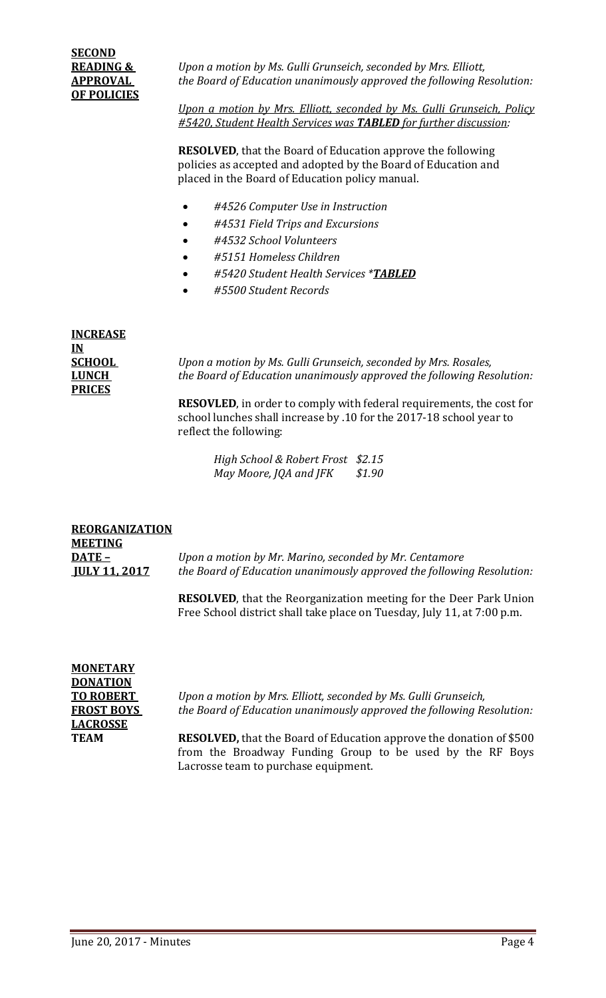**READING &** *Upon a motion by Ms. Gulli Grunseich, seconded by Mrs. Elliott,*  **APPROVAL** *the Board of Education unanimously approved the following Resolution:*

> *Upon a motion by Mrs. Elliott, seconded by Ms. Gulli Grunseich, Policy #5420, Student Health Services was TABLED for further discussion:*

**RESOLVED**, that the Board of Education approve the following policies as accepted and adopted by the Board of Education and placed in the Board of Education policy manual.

- *#4526 Computer Use in Instruction*
- *#4531 Field Trips and Excursions*
- *#4532 School Volunteers*
- *#5151 Homeless Children*
- *#5420 Student Health Services \*TABLED*
- *#5500 Student Records*

| <b>INCREASE</b> |
|-----------------|
| IN              |
| <b>SCHOOL</b>   |
| <b>LUNCH</b>    |
| <b>PRICES</b>   |

*Upon a motion by Ms. Gulli Grunseich, seconded by Mrs. Rosales, the Board of Education unanimously approved the following Resolution:* 

**RESOVLED**, in order to comply with federal requirements, the cost for school lunches shall increase by .10 for the 2017-18 school year to reflect the following:

*High School & Robert Frost \$2.15 May Moore, JQA and JFK \$1.90*

## **REORGANIZATION MEETING**

**DATE –** *Upon a motion by Mr. Marino, seconded by Mr. Centamore* **JULY 11, 2017** *the Board of Education unanimously approved the following Resolution:*

> **RESOLVED**, that the Reorganization meeting for the Deer Park Union Free School district shall take place on Tuesday, July 11, at 7:00 p.m.

| MONETARY          |
|-------------------|
| <b>DONATION</b>   |
| <b>TO ROBERT</b>  |
| <b>FROST BOYS</b> |
| <b>LACROSSE</b>   |
| TEAM              |

*Upon a motion by Mrs. Elliott, seconded by Ms. Gulli Grunseich, the Board of Education unanimously approved the following Resolution:* 

**RESOLVED,** that the Board of Education approve the donation of \$500 from the Broadway Funding Group to be used by the RF Boys Lacrosse team to purchase equipment.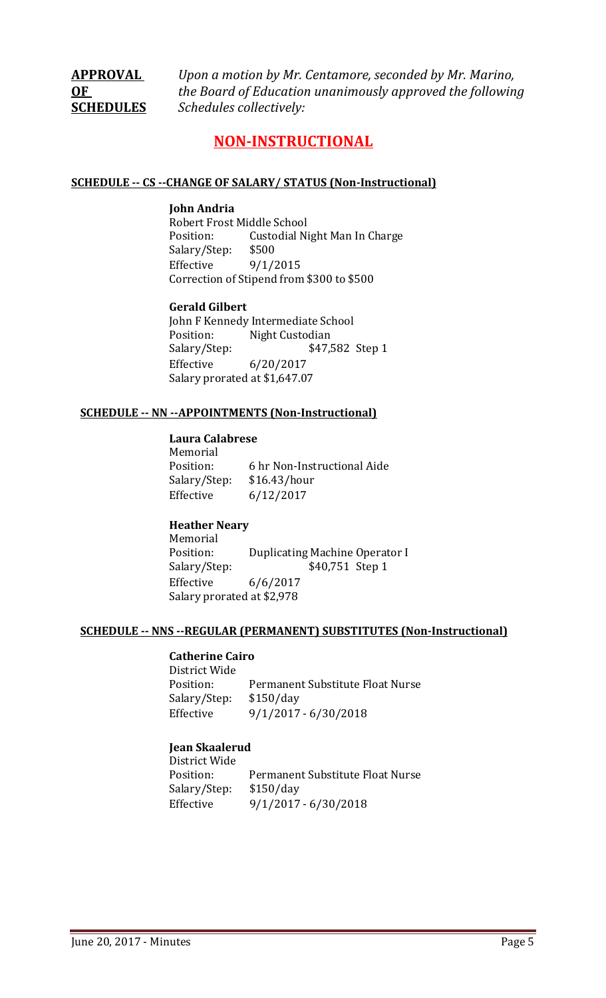**APPROVAL** *Upon a motion by Mr. Centamore, seconded by Mr. Marino,* **OF** *the Board of Education unanimously approved the following*  **SCHEDULES** *Schedules collectively:*

# **NON-INSTRUCTIONAL**

### **SCHEDULE -- CS --CHANGE OF SALARY/ STATUS (Non-Instructional)**

#### **John Andria**

Robert Frost Middle School Custodial Night Man In Charge<br>\$500 Salary/Step:<br>Effective  $9/1/2015$ Correction of Stipend from \$300 to \$500

## **Gerald Gilbert**

John F Kennedy Intermediate School<br>Position: Night Custodian Position: Night Custodian<br>Salary/Step: \$47, \$47,582 Step 1 Effective 6/20/2017 Salary prorated at \$1,647.07

### **SCHEDULE -- NN --APPOINTMENTS (Non-Instructional)**

## **Laura Calabrese**

Memorial<br>Position: 6 hr Non-Instructional Aide<br>\$16.43/hour Salary/Step:<br>Effective  $6/12/2017$ 

## **Heather Neary**

Memorial<br>Position: Position: Duplicating Machine Operator I<br>Salary/Step: \$40,751 Step 1 \$40,751 Step 1 Effective 6/6/2017 Salary prorated at \$2,978

#### **SCHEDULE -- NNS --REGULAR (PERMANENT) SUBSTITUTES (Non-Instructional)**

#### **Catherine Cairo**

District Wide Permanent Substitute Float Nurse<br>\$150/day Salary/Step:<br>Effective Effective 9/1/2017 - 6/30/2018

## **Jean Skaalerud**

District Wide Permanent Substitute Float Nurse<br>\$150/day Salary/Step: Effective 9/1/2017 - 6/30/2018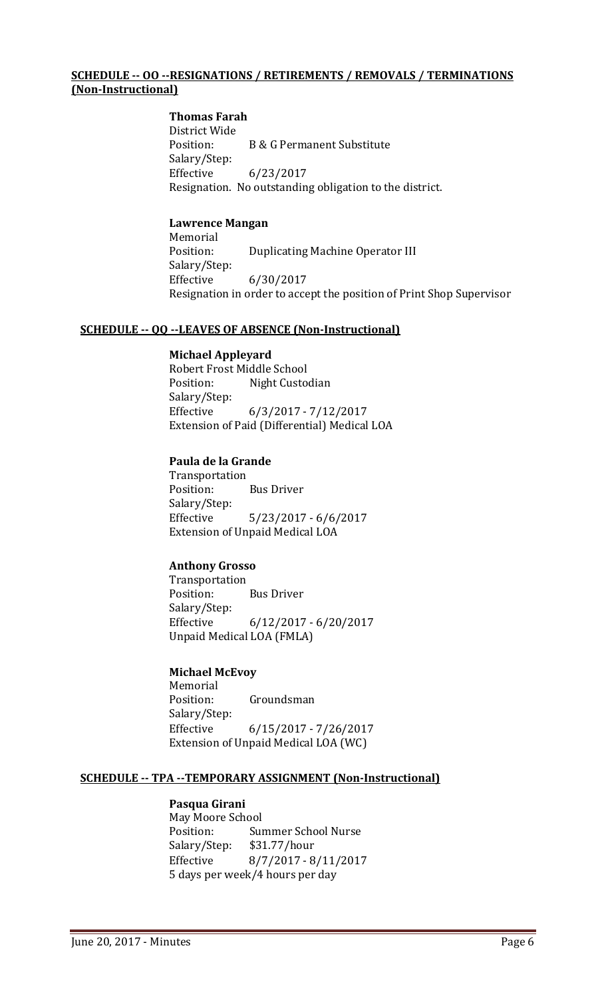#### **SCHEDULE -- OO --RESIGNATIONS / RETIREMENTS / REMOVALS / TERMINATIONS (Non-Instructional)**

#### **Thomas Farah**

District Wide **B & G Permanent Substitute** Salary/Step: Effective 6/23/2017 Resignation. No outstanding obligation to the district.

#### **Lawrence Mangan**

Memorial<br>Position: Duplicating Machine Operator III Salary/Step:<br>Effective Effective 6/30/2017 Resignation in order to accept the position of Print Shop Supervisor

#### **SCHEDULE -- QQ --LEAVES OF ABSENCE (Non-Instructional)**

#### **Michael Appleyard**

Robert Frost Middle School Night Custodian Salary/Step: Effective 6/3/2017 - 7/12/2017 Extension of Paid (Differential) Medical LOA

#### **Paula de la Grande**

Transportation **Bus Driver** Salary/Step: Effective 5/23/2017 - 6/6/2017 Extension of Unpaid Medical LOA

## **Anthony Grosso**

Transportation<br>Position: **Bus Driver** Salary/Step: Effective 6/12/2017 - 6/20/2017 Unpaid Medical LOA (FMLA)

#### **Michael McEvoy**

Memorial<br>Position: Groundsman Salary/Step: Effective 6/15/2017 - 7/26/2017 Extension of Unpaid Medical LOA (WC)

#### **SCHEDULE -- TPA --TEMPORARY ASSIGNMENT (Non-Instructional)**

#### **Pasqua Girani**

May Moore School<br>Position: Sur Summer School Nurse<br>\$31.77/hour Salary/Step:<br>Effective Effective 8/7/2017 - 8/11/2017 5 days per week/4 hours per day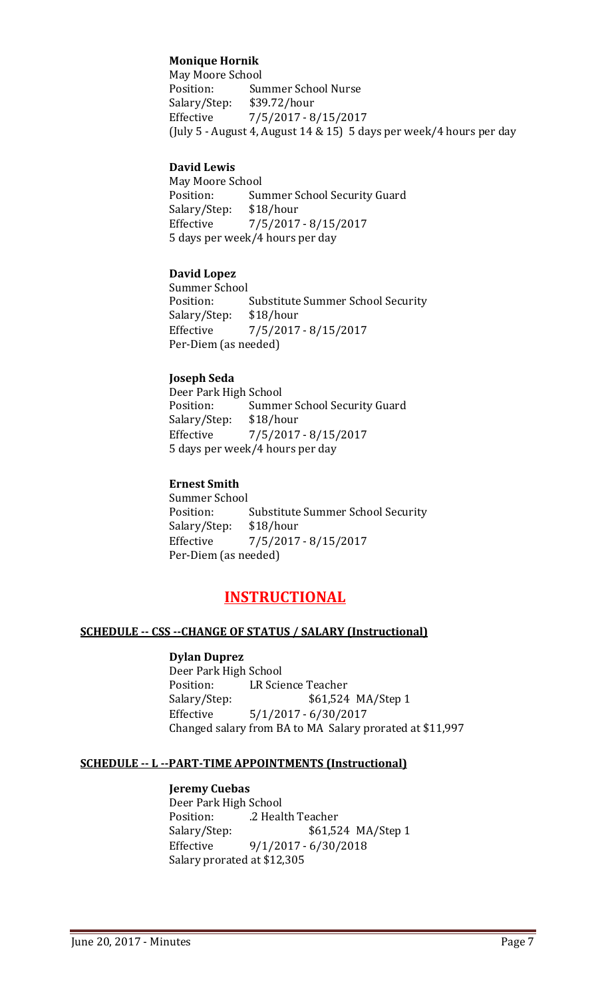## **Monique Hornik**

May Moore School<br>Position: Su Summer School Nurse<br>\$39.72/hour Salary/Step: Effective 7/5/2017 - 8/15/2017 (July 5 - August 4, August 14 & 15) 5 days per week/4 hours per day

#### **David Lewis**

May Moore School<br>Position: Sui Summer School Security Guard<br>\$18/hour Salary/Step:<br>Effective Effective 7/5/2017 - 8/15/2017 5 days per week/4 hours per day

#### **David Lopez**

Summer School<br>Position: Substitute Summer School Security<br>\$18/hour Salary/Step:<br>Effective Effective 7/5/2017 - 8/15/2017 Per-Diem (as needed)

#### **Joseph Seda**

Deer Park High School<br>Position: Summe Summer School Security Guard<br>\$18/hour Salary/Step: Effective 7/5/2017 - 8/15/2017 5 days per week/4 hours per day

#### **Ernest Smith**

Summer School<br>Position: Substitute Summer School Security<br>\$18/hour Salary/Step: Effective 7/5/2017 - 8/15/2017 Per-Diem (as needed)

## **INSTRUCTIONAL**

#### **SCHEDULE -- CSS --CHANGE OF STATUS / SALARY (Instructional)**

#### **Dylan Duprez**

Deer Park High School<br>Position: LR Scie Position: LR Science Teacher<br>Salary/Step: \$61,524 \$61,524 MA/Step 1 Effective 5/1/2017 - 6/30/2017 Changed salary from BA to MA Salary prorated at \$11,997

#### **SCHEDULE -- L --PART-TIME APPOINTMENTS (Instructional)**

#### **Jeremy Cuebas**

Deer Park High School .2 Health Teacher Salary/Step: \$61,524 MA/Step 1 Effective 9/1/2017 - 6/30/2018 Salary prorated at \$12,305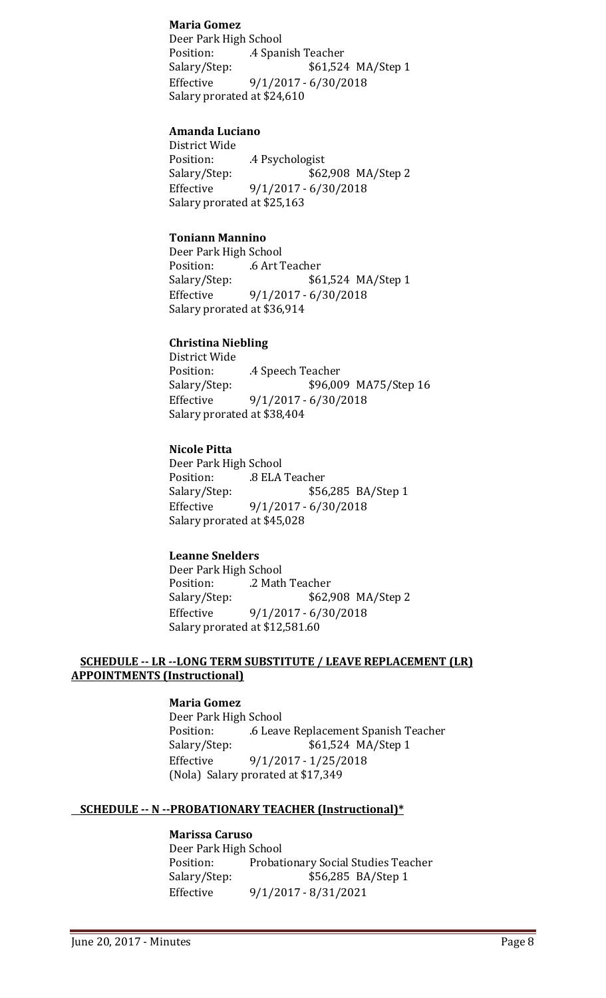#### **Maria Gomez**

Deer Park High School Position: .4 Spanish Teacher<br>Salary/Step: \$61,524 \$61,524 MA/Step 1 Effective 9/1/2017 - 6/30/2018 Salary prorated at \$24,610

#### **Amanda Luciano**

District Wide Position: .4 Psychologist<br>Salary/Step: \$62 \$62,908 MA/Step 2 Effective 9/1/2017 - 6/30/2018 Salary prorated at \$25,163

### **Toniann Mannino**

Deer Park High School Position: .6 Art Teacher<br>Salary/Step: \$6 \$61,524 MA/Step 1 Effective 9/1/2017 - 6/30/2018 Salary prorated at \$36,914

## **Christina Niebling**

District Wide Position: .4 Speech Teacher<br>Salary/Step: \$96,00 \$96,009 MA75/Step 16 Effective 9/1/2017 - 6/30/2018 Salary prorated at \$38,404

#### **Nicole Pitta**

Deer Park High School .8 ELA Teacher Salary/Step: \$56,285 BA/Step 1 Effective 9/1/2017 - 6/30/2018 Salary prorated at \$45,028

#### **Leanne Snelders**

Deer Park High School Position: .2 Math Teacher<br>Salary/Step: \$62,9 \$62,908 MA/Step 2 Effective 9/1/2017 - 6/30/2018 Salary prorated at \$12,581.60

## **SCHEDULE -- LR --LONG TERM SUBSTITUTE / LEAVE REPLACEMENT (LR) APPOINTMENTS (Instructional)**

## **Maria Gomez**

Deer Park High School Position: .6 Leave Replacement Spanish Teacher \$61,524 MA/Step 1 Effective 9/1/2017 - 1/25/2018 (Nola) Salary prorated at \$17,349

## **SCHEDULE -- N --PROBATIONARY TEACHER (Instructional)\***

# **Marissa Caruso**

Deer Park High School<br>Position: Probati Position: Probationary Social Studies Teacher<br>Salary/Step: \$56,285 BA/Step 1 \$56,285 BA/Step 1 Effective 9/1/2017 - 8/31/2021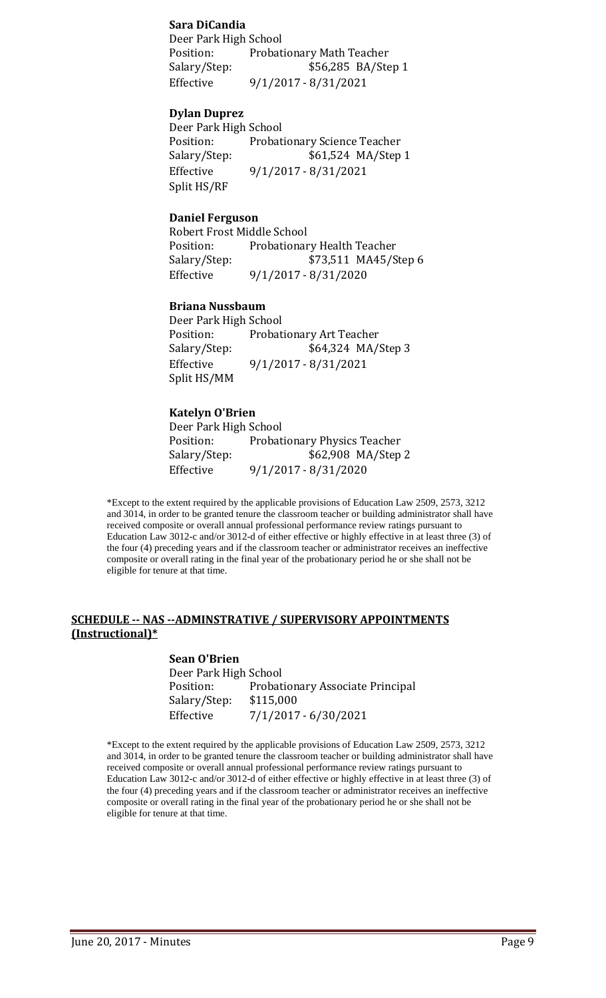#### **Sara DiCandia**

Deer Park High School<br>Position: Probat Position: Probationary Math Teacher<br>Salary/Step: \$56,285 BA/Ste \$56,285 BA/Step 1 Effective 9/1/2017 - 8/31/2021

#### **Dylan Duprez**

Deer Park High School<br>Position: Probat Position: Probationary Science Teacher<br>Salary/Step: \$61,524 MA/Step \$61,524 MA/Step 1 Effective 9/1/2017 - 8/31/2021 Split HS/RF

#### **Daniel Ferguson**

Robert Frost Middle School Position: Probationary Health Teacher<br>Salary/Step: \$73,511 MA45/S \$73,511 MA45/Step 6 Effective 9/1/2017 - 8/31/2020

### **Briana Nussbaum**

Deer Park High School<br>Position: Probat Position: Probationary Art Teacher<br>Salary/Step: \$64,324 MA/ \$64,324 MA/Step 3 Effective 9/1/2017 - 8/31/2021 Split HS/MM

## **Katelyn O'Brien**

Deer Park High School<br>Position: Probat Position: Probationary Physics Teacher<br>Salary/Step: \$62,908 MA/Step \$62,908 MA/Step 2 Effective 9/1/2017 - 8/31/2020

\*Except to the extent required by the applicable provisions of Education Law 2509, 2573, 3212 and 3014, in order to be granted tenure the classroom teacher or building administrator shall have received composite or overall annual professional performance review ratings pursuant to Education Law 3012-c and/or 3012-d of either effective or highly effective in at least three (3) of the four (4) preceding years and if the classroom teacher or administrator receives an ineffective composite or overall rating in the final year of the probationary period he or she shall not be eligible for tenure at that time.

#### **SCHEDULE -- NAS --ADMINSTRATIVE / SUPERVISORY APPOINTMENTS (Instructional)\***

**Sean O'Brien** Deer Park High School Probationary Associate Principal<br>\$115,000 Salary/Step:<br>Effective Effective 7/1/2017 - 6/30/2021

\*Except to the extent required by the applicable provisions of Education Law 2509, 2573, 3212 and 3014, in order to be granted tenure the classroom teacher or building administrator shall have received composite or overall annual professional performance review ratings pursuant to Education Law 3012-c and/or 3012-d of either effective or highly effective in at least three (3) of the four (4) preceding years and if the classroom teacher or administrator receives an ineffective composite or overall rating in the final year of the probationary period he or she shall not be eligible for tenure at that time.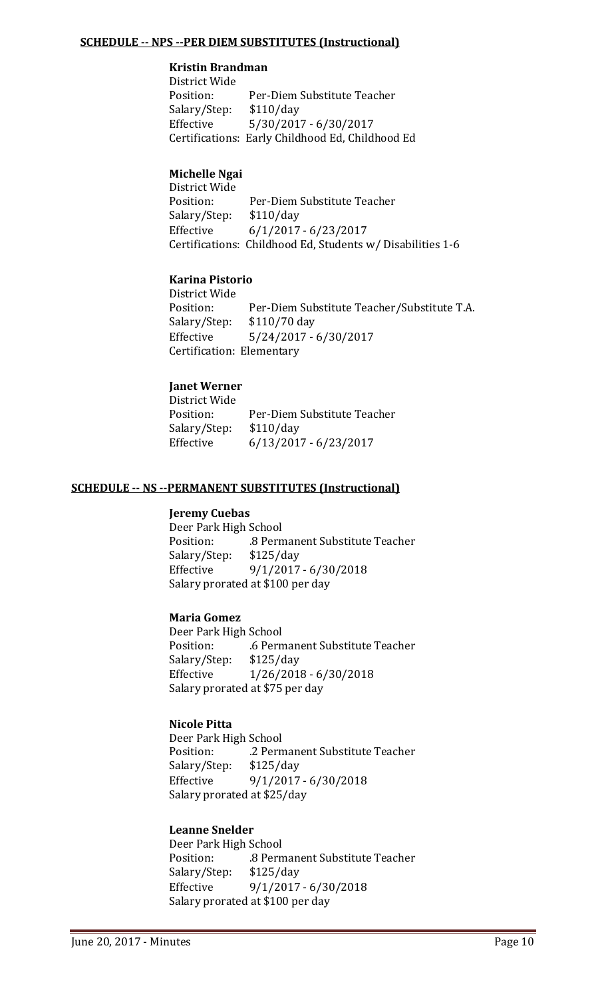### **SCHEDULE -- NPS --PER DIEM SUBSTITUTES (Instructional)**

## **Kristin Brandman**

District Wide Per-Diem Substitute Teacher<br>\$110/day Salary/Step:<br>Effective Effective 5/30/2017 - 6/30/2017 Certifications: Early Childhood Ed, Childhood Ed

## **Michelle Ngai**

District Wide Per-Diem Substitute Teacher Salary/Step: \$110/day<br>Effective 6/1/2017  $6/1/2017 - 6/23/2017$ Certifications: Childhood Ed, Students w/ Disabilities 1-6

### **Karina Pistorio**

District Wide Per-Diem Substitute Teacher/Substitute T.A. \$110/70 day Salary/Step:<br>Effective Effective 5/24/2017 - 6/30/2017 Certification: Elementary

## **Janet Werner**

District Wide Per-Diem Substitute Teacher<br>\$110/day Salary/Step:<br>Effective Effective 6/13/2017 - 6/23/2017

### **SCHEDULE -- NS --PERMANENT SUBSTITUTES (Instructional)**

#### **Jeremy Cuebas**

Deer Park High School .8 Permanent Substitute Teacher<br>\$125/day Salary/Step:<br>Effective Effective 9/1/2017 - 6/30/2018 Salary prorated at \$100 per day

### **Maria Gomez**

Deer Park High School .6 Permanent Substitute Teacher<br>\$125/day Salary/Step:<br>Effective  $1/26/2018 - 6/30/2018$ Salary prorated at \$75 per day

## **Nicole Pitta**

Deer Park High School .2 Permanent Substitute Teacher<br>\$125/day Salary/Step:<br>Effective Effective 9/1/2017 - 6/30/2018 Salary prorated at \$25/day

## **Leanne Snelder**

Deer Park High School .8 Permanent Substitute Teacher<br>\$125/day Salary/Step: Effective 9/1/2017 - 6/30/2018 Salary prorated at \$100 per day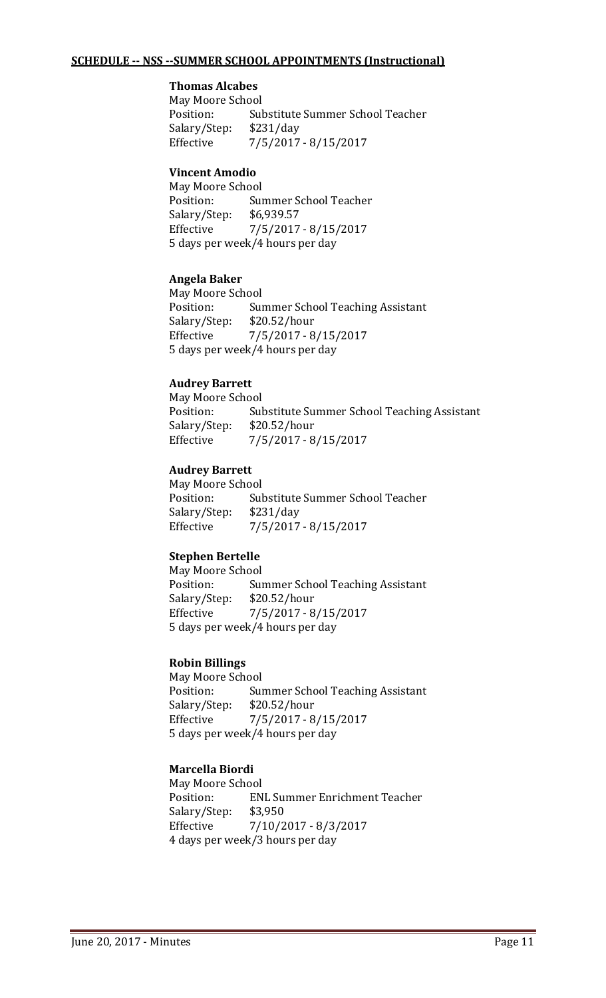## **SCHEDULE -- NSS --SUMMER SCHOOL APPOINTMENTS (Instructional)**

## **Thomas Alcabes**

May Moore School<br>Position: Sul Substitute Summer School Teacher<br>\$231/day Salary/Step:<br>Effective Effective 7/5/2017 - 8/15/2017

### **Vincent Amodio**

May Moore School Summer School Teacher Salary/Step: \$6,939.57<br>Effective 7/5/2017 Effective 7/5/2017 - 8/15/2017 5 days per week/4 hours per day

#### **Angela Baker**

May Moore School<br>Position: Sui Summer School Teaching Assistant Salary/Step: \$20.52/hour<br>Effective 7/5/2017 - 8 Effective 7/5/2017 - 8/15/2017 5 days per week/4 hours per day

### **Audrey Barrett**

May Moore School<br>Position: Sul Substitute Summer School Teaching Assistant<br>\$20.52/hour Salary/Step:<br>Effective Effective 7/5/2017 - 8/15/2017

### **Audrey Barrett**

May Moore School<br>Position: Sul Substitute Summer School Teacher<br>\$231/day Salary/Step: Effective 7/5/2017 - 8/15/2017

## **Stephen Bertelle**

May Moore School<br>Position: Sui Summer School Teaching Assistant<br>\$20.52/hour Salary/Step:<br>Effective Effective 7/5/2017 - 8/15/2017 5 days per week/4 hours per day

#### **Robin Billings**

May Moore School Position: Summer School Teaching Assistant<br>Salary/Step: \$20.52/hour Salary/Step:<br>Effective Effective 7/5/2017 - 8/15/2017 5 days per week/4 hours per day

## **Marcella Biordi**

May Moore School<br>Position: EN ENL Summer Enrichment Teacher<br>\$3,950 Salary/Step:<br>Effective Effective 7/10/2017 - 8/3/2017 4 days per week/3 hours per day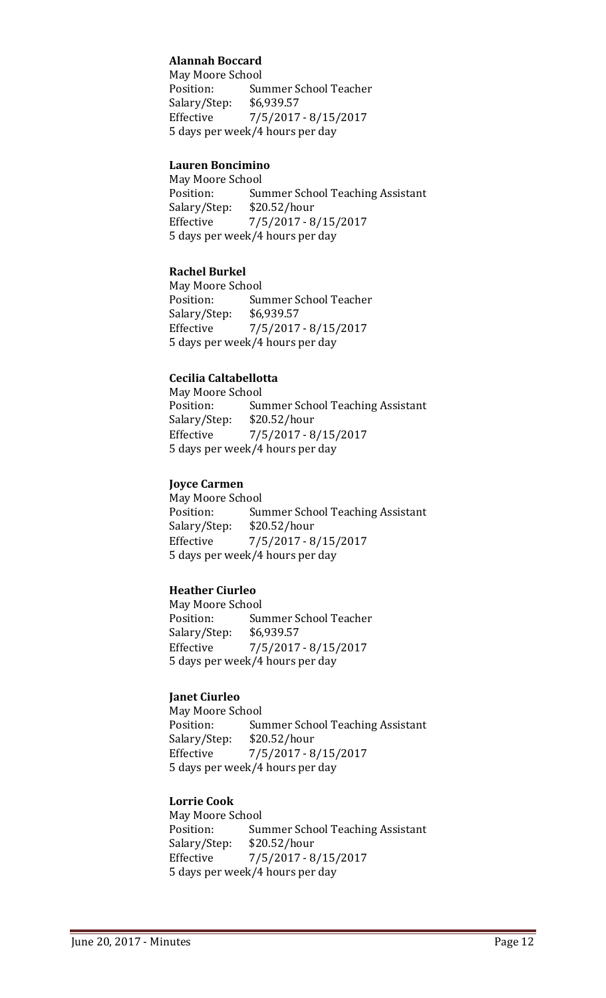## **Alannah Boccard**

May Moore School<br>Position: Sui Summer School Teacher<br>\$6,939.57 Salary/Step: Effective 7/5/2017 - 8/15/2017 5 days per week/4 hours per day

#### **Lauren Boncimino**

May Moore School Summer School Teaching Assistant<br>\$20.52/hour Salary/Step:<br>Effective  $7/5/2017 - 8/15/2017$ 5 days per week/4 hours per day

### **Rachel Burkel**

May Moore School<br>Position: Sur Summer School Teacher<br>\$6,939.57 Salary/Step: Effective 7/5/2017 - 8/15/2017 5 days per week/4 hours per day

## **Cecilia Caltabellotta**

May Moore School<br>Position: Sur Summer School Teaching Assistant<br>\$20.52/hour Salary/Step: Effective 7/5/2017 - 8/15/2017 5 days per week/4 hours per day

### **Joyce Carmen**

May Moore School<br>Position: Sur Summer School Teaching Assistant<br>\$20.52/hour Salary/Step: Effective 7/5/2017 - 8/15/2017 5 days per week/4 hours per day

## **Heather Ciurleo**

May Moore School<br>Position: Sur Summer School Teacher<br>\$6.939.57 Salary/Step:<br>Effective Effective 7/5/2017 - 8/15/2017 5 days per week/4 hours per day

#### **Janet Ciurleo**

May Moore School Position: Summer School Teaching Assistant<br>Salary/Step: \$20.52/hour  $$20.52/hour$ Effective 7/5/2017 - 8/15/2017 5 days per week/4 hours per day

### **Lorrie Cook**

May Moore School<br>Position: Sur Position: Summer School Teaching Assistant<br>Salary/Step: \$20.52/hour  $$20.52/hour$ Effective 7/5/2017 - 8/15/2017 5 days per week/4 hours per day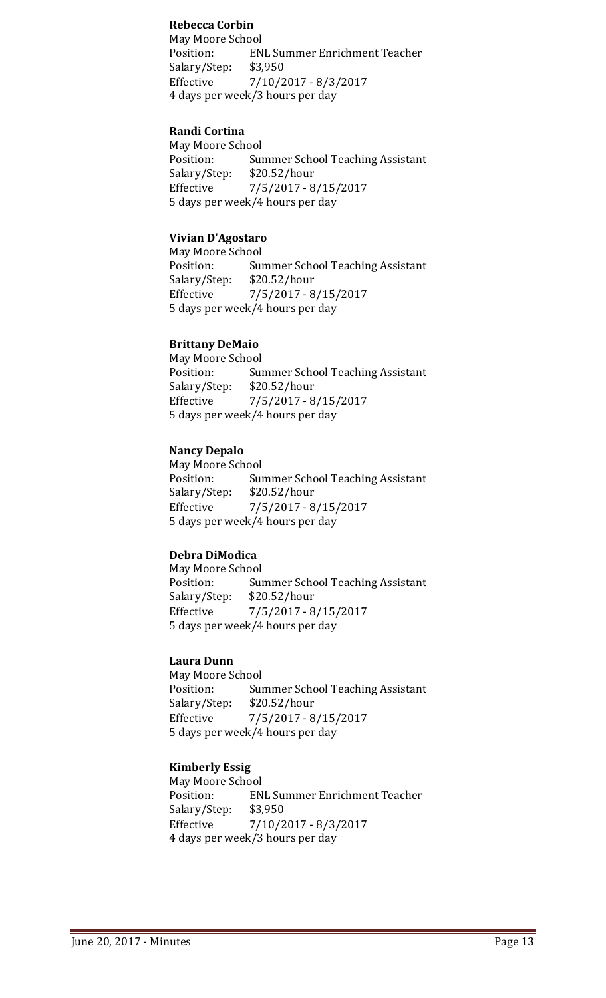## **Rebecca Corbin**

May Moore School<br>Position: EN ENL Summer Enrichment Teacher<br>\$3,950 Salary/Step: Effective 7/10/2017 - 8/3/2017 4 days per week/3 hours per day

### **Randi Cortina**

May Moore School<br>Position: Sui Summer School Teaching Assistant<br>\$20.52/hour Salary/Step: Effective 7/5/2017 - 8/15/2017 5 days per week/4 hours per day

#### **Vivian D'Agostaro**

May Moore School<br>Position: Sur Position: Summer School Teaching Assistant<br>Salary/Step: \$20.52/hour \$20.52/hour Effective 7/5/2017 - 8/15/2017 5 days per week/4 hours per day

### **Brittany DeMaio**

May Moore School<br>Position: Sui Summer School Teaching Assistant<br>\$20.52/hour Salary/Step:<br>Effective Effective 7/5/2017 - 8/15/2017 5 days per week/4 hours per day

### **Nancy Depalo**

May Moore School<br>Position: Sur Summer School Teaching Assistant<br>\$20.52/hour Salary/Step:<br>Effective  $7/5/2017 - 8/15/2017$ 5 days per week/4 hours per day

#### **Debra DiModica**

May Moore School<br>Position: Sui Position: Summer School Teaching Assistant<br>Salary/Step: \$20.52/hour Salary/Step: \$20.52/hour<br>Effective 7/5/2017 - 8 Effective 7/5/2017 - 8/15/2017 5 days per week/4 hours per day

#### **Laura Dunn**

May Moore School<br>Position: Sui Position: Summer School Teaching Assistant<br>Salary/Step: \$20.52/hour Salary/Step: \$20.52/hour<br>Effective 7/5/2017 - 8 Effective 7/5/2017 - 8/15/2017 5 days per week/4 hours per day

## **Kimberly Essig**

May Moore School<br>Position: EN ENL Summer Enrichment Teacher<br>\$3,950 Salary/Step: Effective 7/10/2017 - 8/3/2017 4 days per week/3 hours per day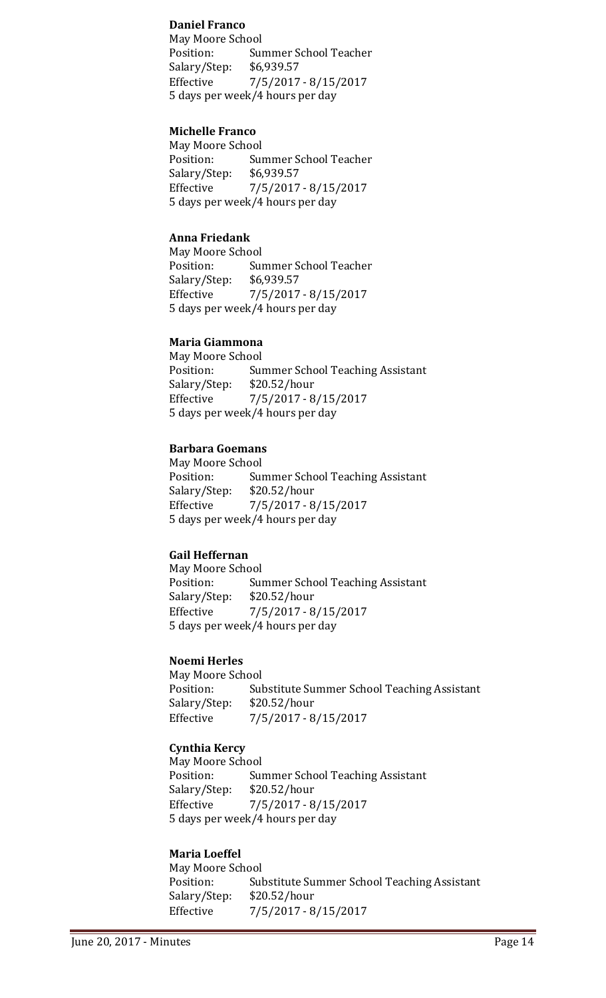#### **Daniel Franco**

May Moore School Summer School Teacher<br>\$6,939.57 Salary/Step: Effective 7/5/2017 - 8/15/2017 5 days per week/4 hours per day

#### **Michelle Franco**

May Moore School<br>Position: Sui Summer School Teacher<br>\$6,939.57 Salary/Step: Effective 7/5/2017 - 8/15/2017 5 days per week/4 hours per day

#### **Anna Friedank**

May Moore School<br>Position: Sui Summer School Teacher<br>\$6,939.57 Salary/Step: Effective 7/5/2017 - 8/15/2017 5 days per week/4 hours per day

#### **Maria Giammona**

May Moore School<br>Position: Sui Position: Summer School Teaching Assistant<br>Salary/Step: \$20.52/hour Salary/Step: \$20.52/hour<br>Effective 7/5/2017 - 8 Effective 7/5/2017 - 8/15/2017 5 days per week/4 hours per day

### **Barbara Goemans**

May Moore School<br>Position: Sui Position: Summer School Teaching Assistant<br>Salary/Step: \$20.52/hour  $$20.52/hour$ Effective 7/5/2017 - 8/15/2017 5 days per week/4 hours per day

#### **Gail Heffernan**

May Moore School<br>Position: Sui Position: Summer School Teaching Assistant<br>Salary/Step: \$20.52/hour Salary/Step: \$20.52/hour<br>Effective 7/5/2017 - 8 Effective 7/5/2017 - 8/15/2017 5 days per week/4 hours per day

#### **Noemi Herles**

May Moore School<br>Position: Sul Position: Substitute Summer School Teaching Assistant<br>Salary/Step: \$20.52/hour Salary/Step: \$20.52/hour<br>Effective 7/5/2017 - 8 Effective 7/5/2017 - 8/15/2017

## **Cynthia Kercy**

May Moore School Position: Summer School Teaching Assistant<br>Salary/Step: \$20.52/hour  $$20.52/hour$ Effective 7/5/2017 - 8/15/2017 5 days per week/4 hours per day

## **Maria Loeffel**

May Moore School<br>Position: Sul Substitute Summer School Teaching Assistant<br>\$20.52/hour Salary/Step: Effective 7/5/2017 - 8/15/2017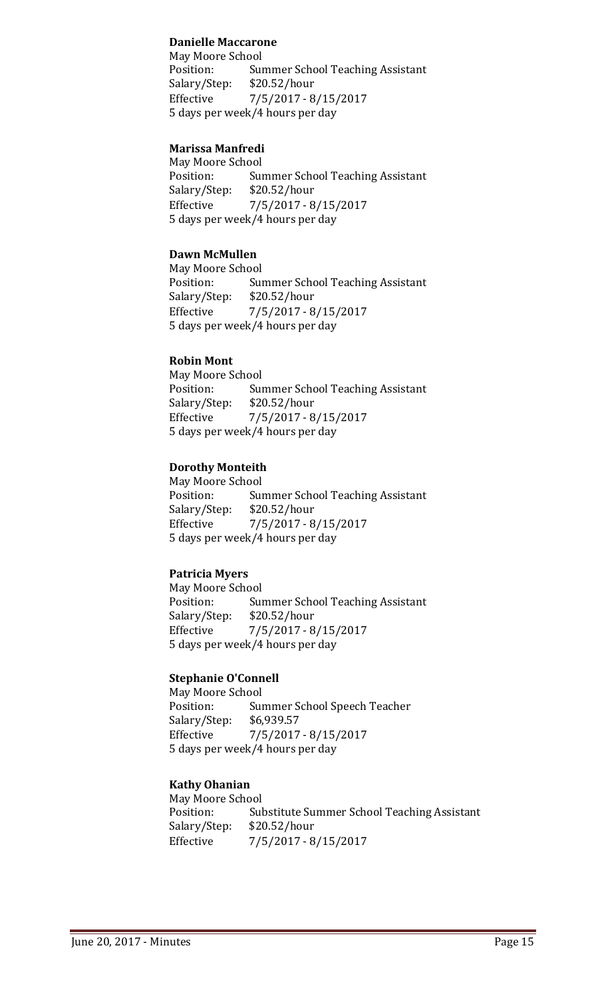### **Danielle Maccarone**

May Moore School Summer School Teaching Assistant<br>\$20.52/hour Salary/Step:<br>Effective Effective 7/5/2017 - 8/15/2017 5 days per week/4 hours per day

## **Marissa Manfredi**

May Moore School<br>Position: Sur Summer School Teaching Assistant Salary/Step: \$20.52/hour<br>Effective 7/5/2017 - 8 Effective 7/5/2017 - 8/15/2017 5 days per week/4 hours per day

## **Dawn McMullen**

May Moore School<br>Position: Sui Summer School Teaching Assistant Salary/Step: \$20.52/hour Effective 7/5/2017 - 8/15/2017 5 days per week/4 hours per day

#### **Robin Mont**

May Moore School<br>Position: Sui **Summer School Teaching Assistant** Salary/Step: \$20.52/hour Effective 7/5/2017 - 8/15/2017 5 days per week/4 hours per day

### **Dorothy Monteith**

May Moore School<br>Position: Sur Summer School Teaching Assistant Salary/Step: \$20.52/hour Effective 7/5/2017 - 8/15/2017 5 days per week/4 hours per day

## **Patricia Myers**

May Moore School<br>Position: Sur **Summer School Teaching Assistant** Salary/Step: \$20.52/hour<br>Effective 7/5/2017 - 8  $7/5/2017 - 8/15/2017$ 5 days per week/4 hours per day

#### **Stephanie O'Connell**

May Moore School<br>Position: Sui Summer School Speech Teacher<br>\$6,939.57 Salary/Step:<br>Effective Effective 7/5/2017 - 8/15/2017 5 days per week/4 hours per day

## **Kathy Ohanian**

May Moore School<br>Position: Sul Substitute Summer School Teaching Assistant Salary/Step: \$20.52/hour<br>Effective 7/5/2017 - 8 Effective 7/5/2017 - 8/15/2017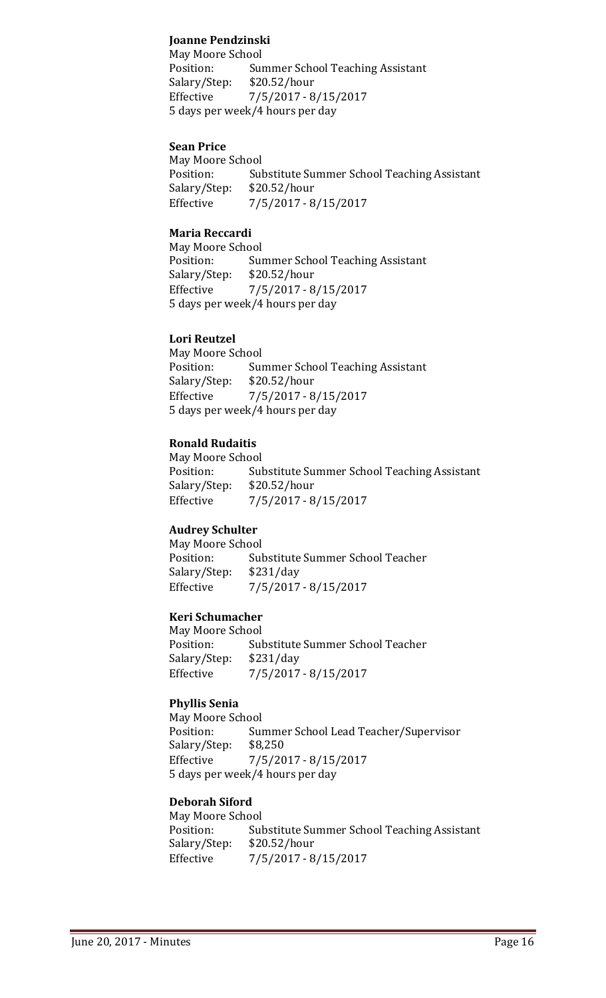## **Joanne Pendzinski**

May Moore School<br>Position: Sui Summer School Teaching Assistant<br>\$20.52/hour Salary/Step: Effective 7/5/2017 - 8/15/2017 5 days per week/4 hours per day

#### **Sean Price**

May Moore School<br>Position: Sul Substitute Summer School Teaching Assistant<br>\$20.52/hour Salary/Step:<br>Effective Effective 7/5/2017 - 8/15/2017

## **Maria Reccardi**

May Moore School<br>Position: Sui Summer School Teaching Assistant<br>\$20.52/hour Salary/Step:<br>Effective Effective 7/5/2017 - 8/15/2017 5 days per week/4 hours per day

### **Lori Reutzel**

May Moore School<br>Position: Sui Summer School Teaching Assistant<br>\$20.52/hour Salary/Step: Effective 7/5/2017 - 8/15/2017 5 days per week/4 hours per day

## **Ronald Rudaitis**

May Moore School Substitute Summer School Teaching Assistant<br>\$20.52/hour Salary/Step:<br>Effective Effective 7/5/2017 - 8/15/2017

## **Audrey Schulter**

May Moore School<br>Position: Sul Substitute Summer School Teacher<br>\$231/day Salary/Step:<br>Effective Effective 7/5/2017 - 8/15/2017

## **Keri Schumacher**

May Moore School<br>Position: Sul Substitute Summer School Teacher<br>\$231/day Salary/Step:<br>Effective Effective 7/5/2017 - 8/15/2017

## **Phyllis Senia**

May Moore School<br>Position: Sui Summer School Lead Teacher/Supervisor<br>\$8,250 Salary/Step: Effective 7/5/2017 - 8/15/2017 5 days per week/4 hours per day

#### **Deborah Siford**

May Moore School<br>Position: Sul Substitute Summer School Teaching Assistant<br>\$20.52/hour Salary/Step: Effective 7/5/2017 - 8/15/2017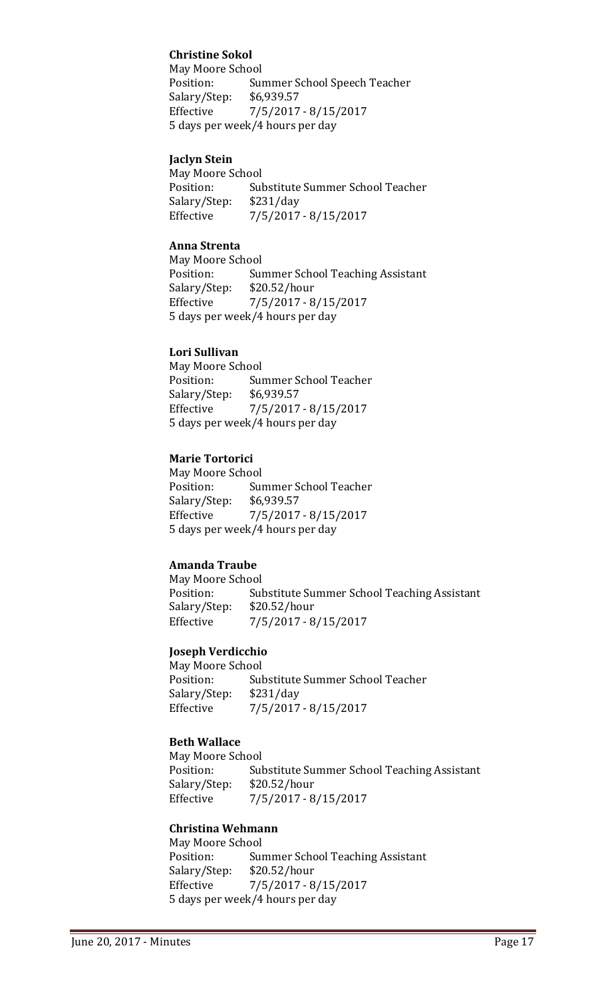## **Christine Sokol**

May Moore School<br>Position: Sur Summer School Speech Teacher<br>\$6,939.57 Salary/Step: Effective 7/5/2017 - 8/15/2017 5 days per week/4 hours per day

## **Jaclyn Stein**

May Moore School<br>Position: Sul Substitute Summer School Teacher<br>\$231/day Salary/Step:<br>Effective Effective 7/5/2017 - 8/15/2017

## **Anna Strenta**

May Moore School<br>Position: Sui Summer School Teaching Assistant<br>\$20.52/hour Salary/Step:<br>Effective  $7/5/2017 - 8/15/2017$ 5 days per week/4 hours per day

## **Lori Sullivan**

May Moore School<br>Position: Sui Summer School Teacher<br>\$6,939.57 Salary/Step:<br>Effective Effective 7/5/2017 - 8/15/2017 5 days per week/4 hours per day

## **Marie Tortorici**

May Moore School<br>Position: Sui Summer School Teacher<br>\$6,939.57 Salary/Step:<br>Effective Effective 7/5/2017 - 8/15/2017 5 days per week/4 hours per day

## **Amanda Traube**

May Moore School<br>Position: Sul Substitute Summer School Teaching Assistant<br>\$20.52/hour Salary/Step: Effective 7/5/2017 - 8/15/2017

## **Joseph Verdicchio**

May Moore School<br>Position: Sul Substitute Summer School Teacher<br>\$231/day Salary/Step:<br>Effective Effective 7/5/2017 - 8/15/2017

## **Beth Wallace**

May Moore School<br>Position: Sul Substitute Summer School Teaching Assistant<br>\$20.52/hour Salary/Step:<br>Effective Effective 7/5/2017 - 8/15/2017

## **Christina Wehmann**

May Moore School<br>Position: Sui Summer School Teaching Assistant<br>\$20.52/hour Salary/Step: Effective 7/5/2017 - 8/15/2017 5 days per week/4 hours per day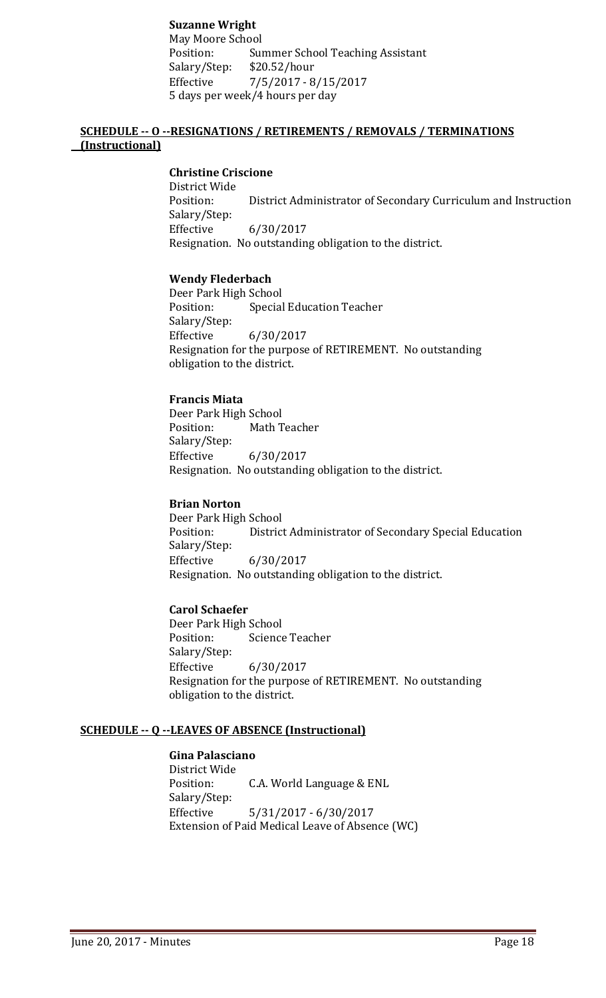## **Suzanne Wright**

May Moore School Summer School Teaching Assistant<br>\$20.52/hour Salary/Step: Effective 7/5/2017 - 8/15/2017 5 days per week/4 hours per day

## **SCHEDULE -- O --RESIGNATIONS / RETIREMENTS / REMOVALS / TERMINATIONS (Instructional)**

### **Christine Criscione**

District Wide District Administrator of Secondary Curriculum and Instruction Salary/Step: Effective 6/30/2017 Resignation. No outstanding obligation to the district.

#### **Wendy Flederbach**

Deer Park High School<br>Position: Special Special Education Teacher Salary/Step:<br>Effective Effective 6/30/2017 Resignation for the purpose of RETIREMENT. No outstanding obligation to the district.

## **Francis Miata**

Deer Park High School<br>Position: Math T Math Teacher Salary/Step: Effective 6/30/2017 Resignation. No outstanding obligation to the district.

#### **Brian Norton**

Deer Park High School<br>Position: District District Administrator of Secondary Special Education Salary/Step:<br>Effective Effective 6/30/2017 Resignation. No outstanding obligation to the district.

## **Carol Schaefer**

Deer Park High School<br>Position: Science Science Teacher Salary/Step: Effective 6/30/2017 Resignation for the purpose of RETIREMENT. No outstanding obligation to the district.

#### **SCHEDULE -- Q --LEAVES OF ABSENCE (Instructional)**

## **Gina Palasciano**

District Wide C.A. World Language & ENL Salary/Step:<br>Effective Effective 5/31/2017 - 6/30/2017 Extension of Paid Medical Leave of Absence (WC)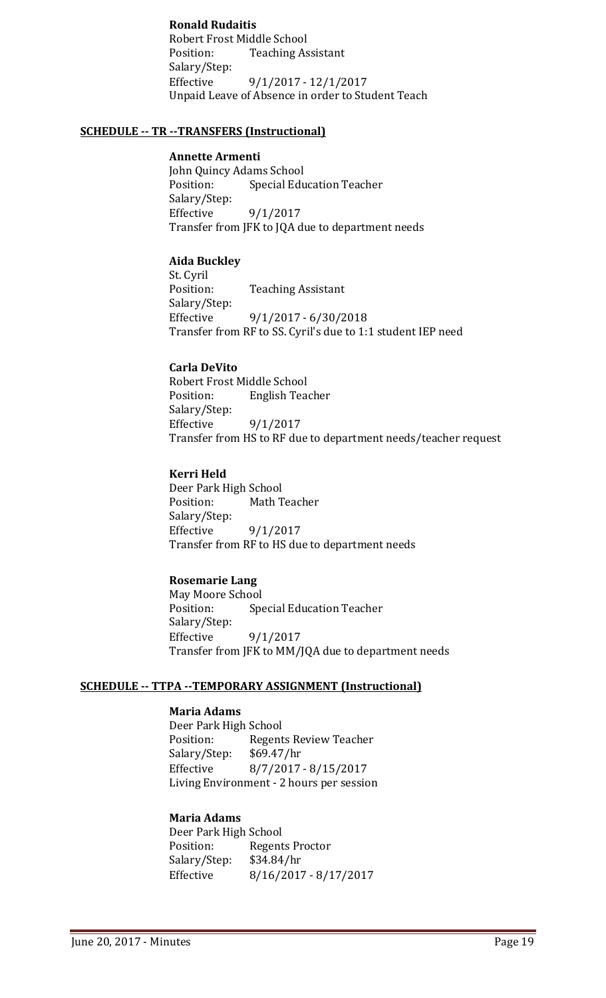## **Ronald Rudaitis**

Robert Frost Middle School<br>Position: Teaching As **Teaching Assistant** Salary/Step: Effective 9/1/2017 - 12/1/2017 Unpaid Leave of Absence in order to Student Teach

### **SCHEDULE -- TR --TRANSFERS (Instructional)**

#### **Annette Armenti**

John Quincy Adams School<br>Position: Special Edu **Special Education Teacher** Salary/Step: Effective 9/1/2017 Transfer from JFK to JQA due to department needs

## **Aida Buckley**

St. Cyril **Teaching Assistant** Salary/Step: Effective 9/1/2017 - 6/30/2018 Transfer from RF to SS. Cyril's due to 1:1 student IEP need

### **Carla DeVito**

Robert Frost Middle School<br>Position: English Tea **English Teacher** Salary/Step: Effective 9/1/2017 Transfer from HS to RF due to department needs/teacher request

## **Kerri Held**

Deer Park High School<br>Position: Math T Math Teacher Salary/Step:<br>Effective  $9/1/2017$ Transfer from RF to HS due to department needs

## **Rosemarie Lang**

May Moore School<br>Position: Sp **Special Education Teacher** Salary/Step:<br>Effective 9/1/2017 Transfer from JFK to MM/JQA due to department needs

#### **SCHEDULE -- TTPA --TEMPORARY ASSIGNMENT (Instructional)**

## **Maria Adams**

Deer Park High School<br>Position: Regent Regents Review Teacher<br>\$69.47/hr Salary/Step:<br>Effective Effective 8/7/2017 - 8/15/2017 Living Environment - 2 hours per session

## **Maria Adams**

Deer Park High School<br>Position: Regent Regents Proctor Salary/Step: \$34.84/hr Effective 8/16/2017 - 8/17/2017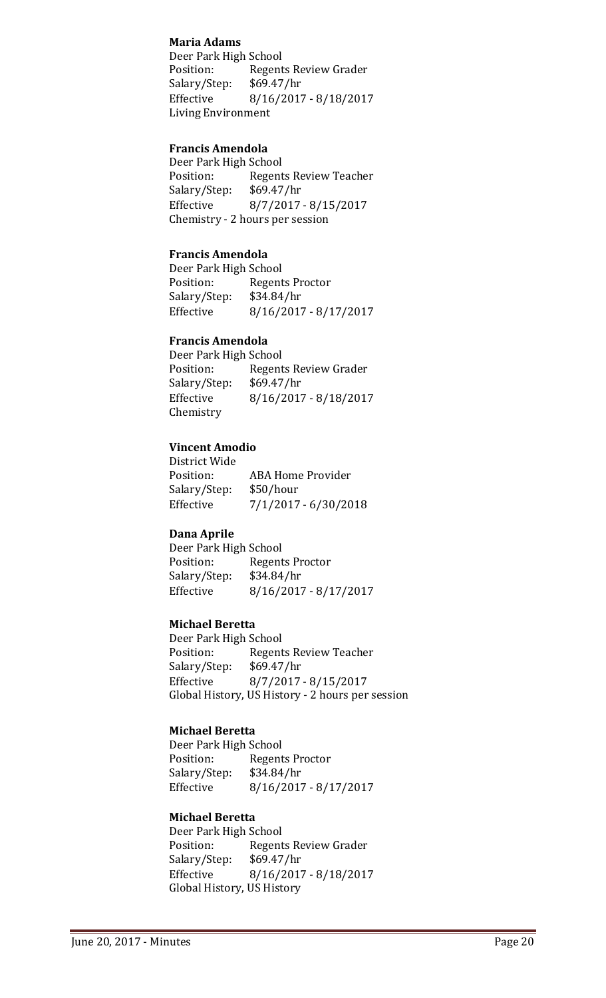## **Maria Adams**

Deer Park High School Regents Review Grader<br>\$69.47/hr Salary/Step:<br>Effective Effective 8/16/2017 - 8/18/2017 Living Environment

## **Francis Amendola**

Deer Park High School<br>Position: Regent Regents Review Teacher<br>\$69.47/hr Salary/Step:<br>Effective Effective 8/7/2017 - 8/15/2017 Chemistry - 2 hours per session

## **Francis Amendola**

Deer Park High School<br>Position: Regent Regents Proctor<br>\$34.84/hr Salary/Step: Effective 8/16/2017 - 8/17/2017

#### **Francis Amendola**

Deer Park High School<br>Position: Regent Regents Review Grader<br>\$69.47/hr Salary/Step:<br>Effective Effective 8/16/2017 - 8/18/2017 Chemistry

#### **Vincent Amodio**

District Wide ABA Home Provider<br>\$50/hour Salary/Step: Effective 7/1/2017 - 6/30/2018

#### **Dana Aprile**

Deer Park High School<br>Position: Regent Regents Proctor<br>\$34.84/hr Salary/Step:<br>Effective Effective 8/16/2017 - 8/17/2017

#### **Michael Beretta**

Deer Park High School Regents Review Teacher<br>\$69.47/hr Salary/Step: Effective 8/7/2017 - 8/15/2017 Global History, US History - 2 hours per session

#### **Michael Beretta**

Deer Park High School<br>Position: Regent Regents Proctor<br>\$34.84/hr Salary/Step:<br>Effective  $8/16/2017 - 8/17/2017$ 

#### **Michael Beretta**

Deer Park High School Regents Review Grader<br>\$69.47/hr Salary/Step: Effective 8/16/2017 - 8/18/2017 Global History, US History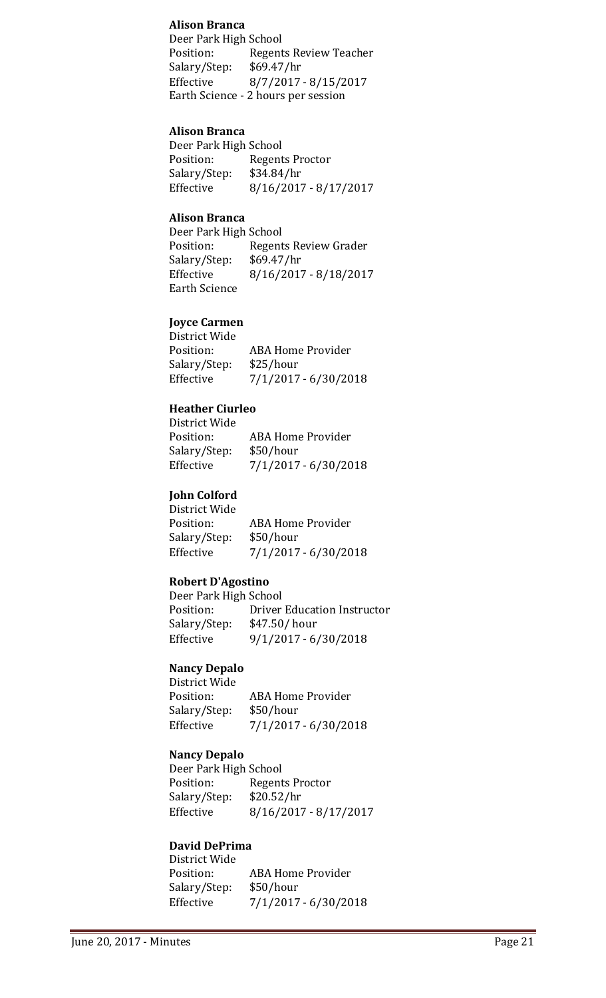#### **Alison Branca**

Deer Park High School<br>Position: Regent Regents Review Teacher<br>\$69.47/hr Salary/Step: Effective 8/7/2017 - 8/15/2017 Earth Science - 2 hours per session

#### **Alison Branca**

Deer Park High School<br>Position: Regent Regents Proctor Salary/Step: \$34.84/hr<br>Effective 8/16/2017 Effective 8/16/2017 - 8/17/2017

### **Alison Branca**

Deer Park High School<br>Position: Regent Regents Review Grader<br>\$69.47/hr Salary/Step:<br>Effective Effective 8/16/2017 - 8/18/2017 Earth Science

#### **Joyce Carmen** e<br>Trict Wid

| District Wide |                          |
|---------------|--------------------------|
| Position:     | <b>ABA Home Provider</b> |
| Salary/Step:  | \$25/hour                |
| Effective     | $7/1/2017 - 6/30/2018$   |
|               |                          |

#### **Heather Ciurleo** District Wide

| District Wide |                          |
|---------------|--------------------------|
| Position:     | <b>ABA Home Provider</b> |
| Salary/Step:  | \$50/hour                |
| Effective     | $7/1/2017 - 6/30/2018$   |
|               |                          |

#### **John Colford** District Wide

| DISTRICT WIDE |                        |
|---------------|------------------------|
| Position:     | ABA Home Provider      |
| Salary/Step:  | \$50/hour              |
| Effective     | $7/1/2017 - 6/30/2018$ |
|               |                        |

#### **Robert D'Agostino**

| Deer Park High School |                                    |
|-----------------------|------------------------------------|
| Position:             | <b>Driver Education Instructor</b> |
| Salary/Step:          | $$47.50/$ hour                     |
| Effective             | $9/1/2017 - 6/30/2018$             |
|                       |                                    |

## **Nancy Depalo**

| District Wide |                          |
|---------------|--------------------------|
| Position:     | <b>ABA Home Provider</b> |
| Salary/Step:  | \$50/hour                |
| Effective     | $7/1/2017 - 6/30/2018$   |

#### **Nancy Depalo**

Deer Park High School<br>Position: Regent Regents Proctor<br>\$20.52/hr Salary/Step:<br>Effective Effective 8/16/2017 - 8/17/2017

## **David DePrima**

| District Wide |                        |
|---------------|------------------------|
| Position:     | ABA Home Provider      |
| Salary/Step:  | \$50/hour              |
| Effective     | $7/1/2017 - 6/30/2018$ |
|               |                        |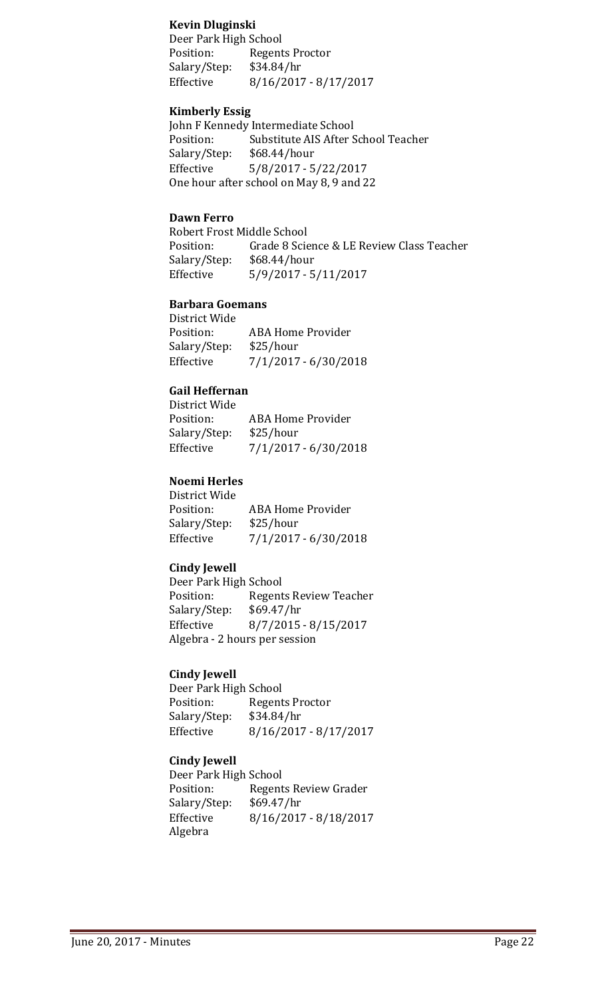#### **Kevin Dluginski**

Deer Park High School Regents Proctor<br>\$34.84/hr Salary/Step: Effective 8/16/2017 - 8/17/2017

#### **Kimberly Essig**

John F Kennedy Intermediate School<br>Position: Substitute AIS After S Substitute AIS After School Teacher<br>\$68.44/hour Salary/Step:<br>Effective  $5/8/2017 - 5/22/2017$ One hour after school on May 8, 9 and 22

#### **Dawn Ferro**

Robert Frost Middle School<br>Position: Grade 8 Scie Grade 8 Science & LE Review Class Teacher<br>\$68.44/hour Salary/Step:<br>Effective Effective 5/9/2017 - 5/11/2017

#### **Barbara Goemans**

| District Wide |                          |
|---------------|--------------------------|
| Position:     | <b>ABA Home Provider</b> |
| Salary/Step:  | \$25/hour                |
| Effective     | $7/1/2017 - 6/30/2018$   |
|               |                          |

#### **Gail Heffernan**  $0 + I^{\Lambda T}$

| District Wide |                          |
|---------------|--------------------------|
| Position:     | <b>ABA Home Provider</b> |
| Salary/Step:  | \$25/hour                |
| Effective     | 7/1/2017 - 6/30/2018     |
|               |                          |

#### **Noemi Herles**

District Wide ABA Home Provider<br>\$25/hour Salary/Step:<br>Effective  $7/1/2017 - 6/30/2018$ 

#### **Cindy Jewell**

Deer Park High School Regents Review Teacher<br>\$69.47/hr Salary/Step: Effective 8/7/2015 - 8/15/2017 Algebra - 2 hours per session

#### **Cindy Jewell**

Deer Park High School<br>Position: Regent Regents Proctor<br>\$34.84/hr Salary/Step:<br>Effective Effective 8/16/2017 - 8/17/2017

#### **Cindy Jewell**

Deer Park High School Regents Review Grader<br>\$69.47/hr Salary/Step: Effective 8/16/2017 - 8/18/2017 Algebra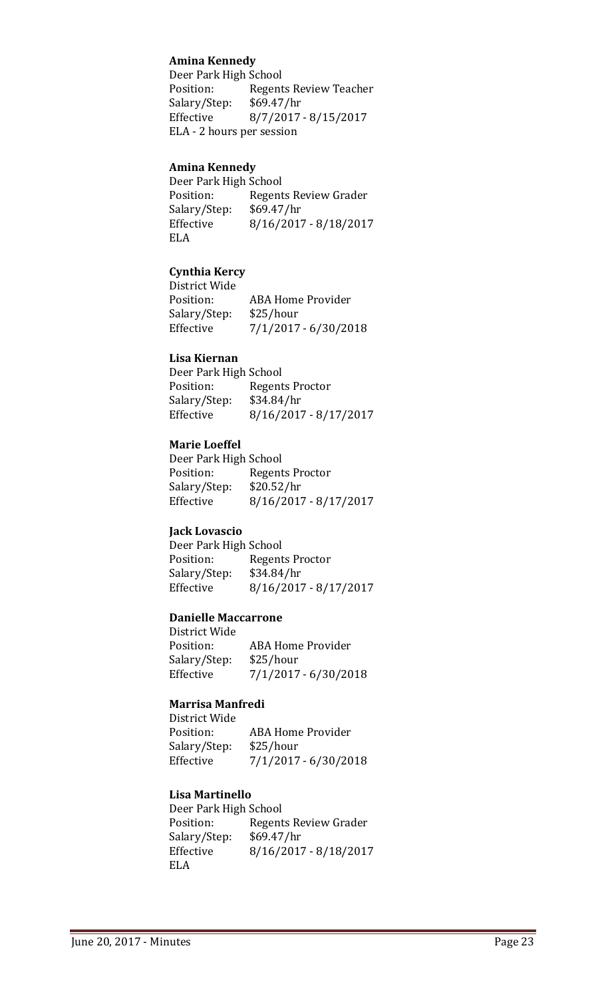## **Amina Kennedy**

Deer Park High School<br>Position: Regent Regents Review Teacher<br>\$69.47/hr Salary/Step:<br>Effective Effective 8/7/2017 - 8/15/2017 ELA - 2 hours per session

#### **Amina Kennedy**

Deer Park High School<br>Position: Regent Regents Review Grader<br>\$69.47/hr Salary/Step:<br>Effective Effective 8/16/2017 - 8/18/2017 ELA

### **Cynthia Kercy**

District Wide ABA Home Provider<br>\$25/hour Salary/Step: Effective 7/1/2017 - 6/30/2018

#### **Lisa Kiernan**

| Regents Proctor<br>Position:         |  |
|--------------------------------------|--|
| \$34.84/hr<br>Salary/Step:           |  |
| $8/16/2017 - 8/17/2017$<br>Effective |  |

#### **Marie Loeffel**

Deer Park High School Regents Proctor<br>\$20.52/hr Salary/Step:<br>Effective Effective 8/16/2017 - 8/17/2017

#### **Jack Lovascio**

Deer Park High School Regents Proctor<br>\$34.84/hr Salary/Step:<br>Effective Effective 8/16/2017 - 8/17/2017

#### **Danielle Maccarrone**

District Wide ABA Home Provider<br>\$25/hour Salary/Step: Effective 7/1/2017 - 6/30/2018

#### **Marrisa Manfredi**

District Wide ABA Home Provider<br>\$25/hour Salary/Step:<br>Effective  $7/1/2017 - 6/30/2018$ 

#### **Lisa Martinello**

Deer Park High School<br>Position: Regent Regents Review Grader<br>\$69.47/hr Salary/Step:<br>Effective Effective 8/16/2017 - 8/18/2017 ELA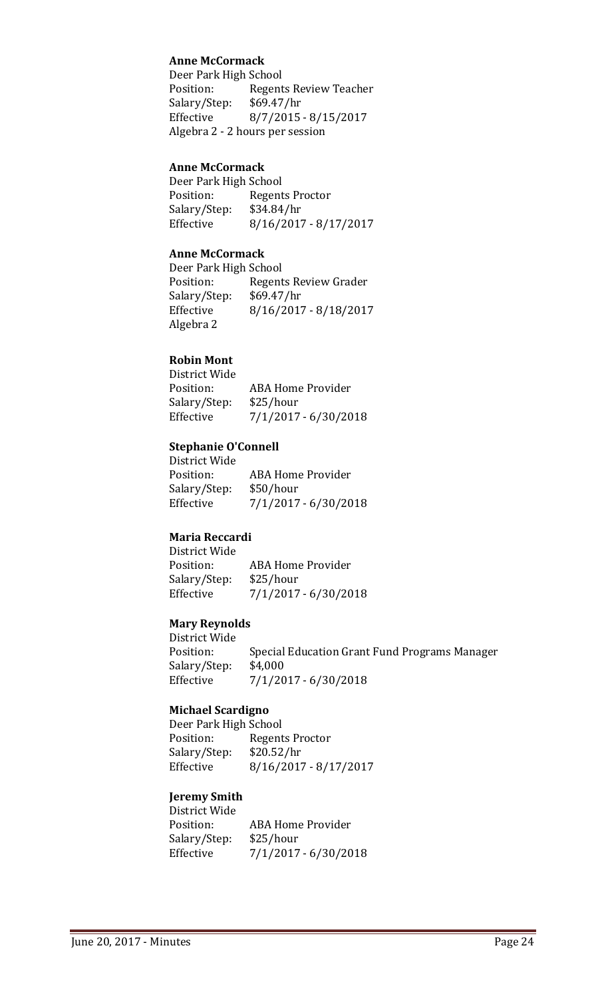## **Anne McCormack**

Deer Park High School<br>Position: Regent Regents Review Teacher<br>\$69.47/hr Salary/Step: Effective 8/7/2015 - 8/15/2017 Algebra 2 - 2 hours per session

#### **Anne McCormack**

Deer Park High School<br>Position: Regent Regents Proctor<br>\$34.84/hr Salary/Step:<br>Effective Effective 8/16/2017 - 8/17/2017

#### **Anne McCormack**

Deer Park High School Position: Regents Review Grader<br>Salary/Step: \$69.47/hr Salary/Step:<br>Effective Effective 8/16/2017 - 8/18/2017 Algebra 2

### **Robin Mont**

District Wide ABA Home Provider<br>\$25/hour Salary/Step:<br>Effective Effective 7/1/2017 - 6/30/2018

### **Stephanie O'Connell**

District Wide ABA Home Provider<br>\$50/hour Salary/Step:<br>Effective  $7/1/2017 - 6/30/2018$ 

# **Maria Reccardi**

District Wide ABA Home Provider<br>\$25/hour Salary/Step:<br>Effective  $7/1/2017 - 6/30/2018$ 

## **Mary Reynolds**

District Wide Special Education Grant Fund Programs Manager<br>\$4,000 Salary/Step: Effective 7/1/2017 - 6/30/2018

#### **Michael Scardigno**

Deer Park High School Regents Proctor<br>\$20.52/hr Salary/Step:<br>Effective Effective 8/16/2017 - 8/17/2017

## **Jeremy Smith**

District Wide ABA Home Provider<br>\$25/hour Salary/Step: Effective 7/1/2017 - 6/30/2018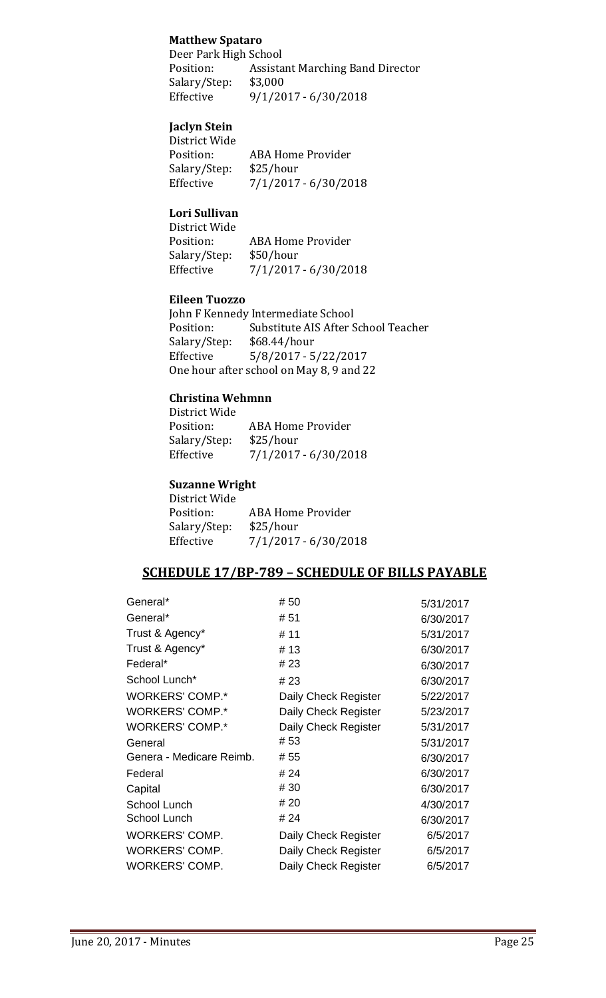## **Matthew Spataro**

Deer Park High School<br>Position: Assista Assistant Marching Band Director<br>\$3,000 Salary/Step:<br>Effective Effective 9/1/2017 - 6/30/2018

## **Jaclyn Stein**

| District Wide |                          |
|---------------|--------------------------|
| Position:     | <b>ABA Home Provider</b> |
| Salary/Step:  | \$25/hour                |
| Effective     | $7/1/2017 - 6/30/2018$   |
|               |                          |

## **Lori Sullivan**

District Wide ABA Home Provider Salary/Step: \$50/hour<br>Effective 7/1/2017  $7/1/2017 - 6/30/2018$ 

## **Eileen Tuozzo**

John F Kennedy Intermediate School<br>Position: Substitute AIS After S Substitute AIS After School Teacher<br>\$68.44/hour Salary/Step:<br>Effective  $5/8/2017 - 5/22/2017$ One hour after school on May 8, 9 and 22

#### **Christina Wehmnn** District Wide

| DISTRICT WIDE |                          |
|---------------|--------------------------|
| Position:     | <b>ABA Home Provider</b> |
| Salary/Step:  | \$25/hour                |
| Effective     | $7/1/2017 - 6/30/2018$   |
|               |                          |

### **Suzanne Wright**

| District Wide |                          |
|---------------|--------------------------|
| Position:     | <b>ABA Home Provider</b> |
| Salary/Step:  | \$25/hour                |
| Effective     | 7/1/2017 - 6/30/2018     |
|               |                          |

## **SCHEDULE 17/BP-789 – SCHEDULE OF BILLS PAYABLE**

| General*                 | # 50                 | 5/31/2017 |
|--------------------------|----------------------|-----------|
| General*                 | # 51                 | 6/30/2017 |
| Trust & Agency*          | # 11                 | 5/31/2017 |
| Trust & Agency*          | # 13                 | 6/30/2017 |
| Federal*                 | # 23                 | 6/30/2017 |
| School Lunch*            | #23                  | 6/30/2017 |
| <b>WORKERS' COMP.*</b>   | Daily Check Register | 5/22/2017 |
| <b>WORKERS' COMP.*</b>   | Daily Check Register | 5/23/2017 |
| <b>WORKERS' COMP.*</b>   | Daily Check Register | 5/31/2017 |
| General                  | #53                  | 5/31/2017 |
| Genera - Medicare Reimb. | # 55                 | 6/30/2017 |
| Federal                  | # 24                 | 6/30/2017 |
| Capital                  | # 30                 | 6/30/2017 |
| School Lunch             | # 20                 | 4/30/2017 |
| School Lunch             | # 24                 | 6/30/2017 |
| WORKERS' COMP.           | Daily Check Register | 6/5/2017  |
| <b>WORKERS' COMP.</b>    | Daily Check Register | 6/5/2017  |
| <b>WORKERS' COMP.</b>    | Daily Check Register | 6/5/2017  |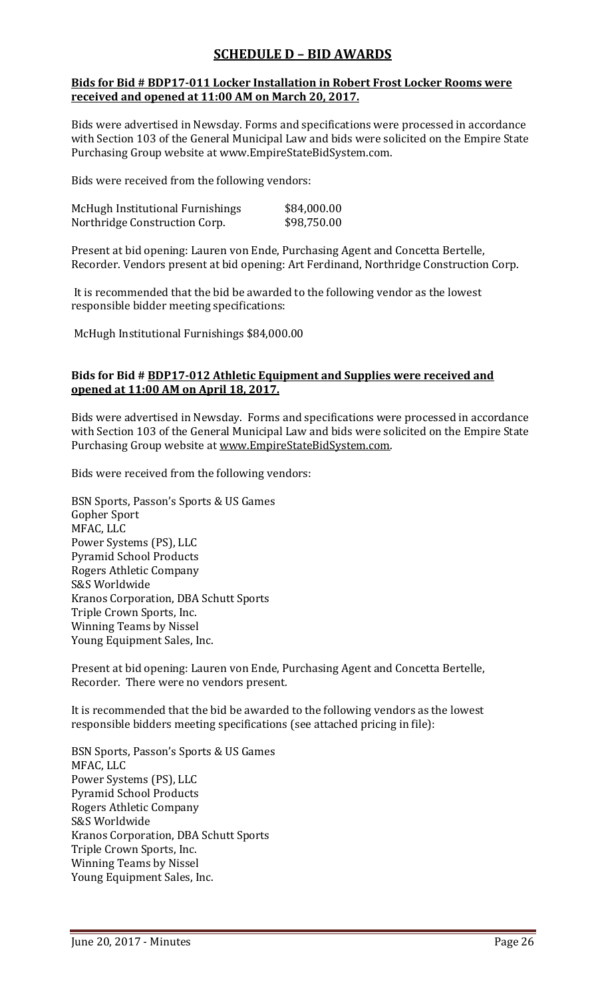# **SCHEDULE D – BID AWARDS**

## **Bids for Bid # BDP17-011 Locker Installation in Robert Frost Locker Rooms were received and opened at 11:00 AM on March 20, 2017.**

Bids were advertised in Newsday. Forms and specifications were processed in accordance with Section 103 of the General Municipal Law and bids were solicited on the Empire State Purchasing Group website at www.EmpireStateBidSystem.com.

Bids were received from the following vendors:

| McHugh Institutional Furnishings | \$84,000.00 |
|----------------------------------|-------------|
| Northridge Construction Corp.    | \$98,750.00 |

Present at bid opening: Lauren von Ende, Purchasing Agent and Concetta Bertelle, Recorder. Vendors present at bid opening: Art Ferdinand, Northridge Construction Corp.

It is recommended that the bid be awarded to the following vendor as the lowest responsible bidder meeting specifications:

McHugh Institutional Furnishings \$84,000.00

### **Bids for Bid # BDP17-012 Athletic Equipment and Supplies were received and opened at 11:00 AM on April 18, 2017.**

Bids were advertised in Newsday. Forms and specifications were processed in accordance with Section 103 of the General Municipal Law and bids were solicited on the Empire State Purchasing Group website at [www.EmpireStateBidSystem.com.](http://www.empirestatebidsystem.com/)

Bids were received from the following vendors:

BSN Sports, Passon's Sports & US Games Gopher Sport MFAC, LLC Power Systems (PS), LLC Pyramid School Products Rogers Athletic Company S&S Worldwide Kranos Corporation, DBA Schutt Sports Triple Crown Sports, Inc. Winning Teams by Nissel Young Equipment Sales, Inc.

Present at bid opening: Lauren von Ende, Purchasing Agent and Concetta Bertelle, Recorder. There were no vendors present.

It is recommended that the bid be awarded to the following vendors as the lowest responsible bidders meeting specifications (see attached pricing in file):

BSN Sports, Passon's Sports & US Games MFAC, LLC Power Systems (PS), LLC Pyramid School Products Rogers Athletic Company S&S Worldwide Kranos Corporation, DBA Schutt Sports Triple Crown Sports, Inc. Winning Teams by Nissel Young Equipment Sales, Inc.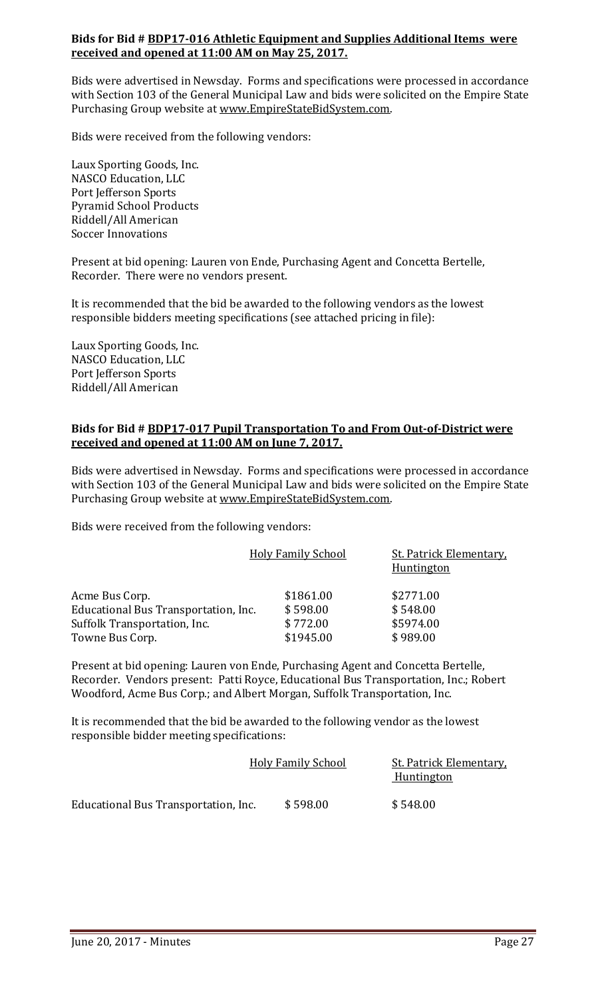## **Bids for Bid # BDP17-016 Athletic Equipment and Supplies Additional Items were received and opened at 11:00 AM on May 25, 2017.**

Bids were advertised in Newsday. Forms and specifications were processed in accordance with Section 103 of the General Municipal Law and bids were solicited on the Empire State Purchasing Group website at [www.EmpireStateBidSystem.com.](http://www.empirestatebidsystem.com/)

Bids were received from the following vendors:

Laux Sporting Goods, Inc. NASCO Education, LLC Port Jefferson Sports Pyramid School Products Riddell/All American Soccer Innovations

Present at bid opening: Lauren von Ende, Purchasing Agent and Concetta Bertelle, Recorder. There were no vendors present.

It is recommended that the bid be awarded to the following vendors as the lowest responsible bidders meeting specifications (see attached pricing in file):

Laux Sporting Goods, Inc. NASCO Education, LLC Port Jefferson Sports Riddell/All American

#### **Bids for Bid # BDP17-017 Pupil Transportation To and From Out-of-District were received and opened at 11:00 AM on June 7, 2017.**

Bids were advertised in Newsday. Forms and specifications were processed in accordance with Section 103 of the General Municipal Law and bids were solicited on the Empire State Purchasing Group website at [www.EmpireStateBidSystem.com.](http://www.empirestatebidsystem.com/)

Bids were received from the following vendors:

|                                      | <b>Holy Family School</b> | <b>St. Patrick Elementary</b><br><b>Huntington</b> |
|--------------------------------------|---------------------------|----------------------------------------------------|
| Acme Bus Corp.                       | \$1861.00                 | \$2771.00                                          |
| Educational Bus Transportation, Inc. | \$598.00                  | \$548.00                                           |
| Suffolk Transportation, Inc.         | \$772.00                  | \$5974.00                                          |
| Towne Bus Corp.                      | \$1945.00                 | \$989.00                                           |

Present at bid opening: Lauren von Ende, Purchasing Agent and Concetta Bertelle, Recorder. Vendors present: Patti Royce, Educational Bus Transportation, Inc.; Robert Woodford, Acme Bus Corp.; and Albert Morgan, Suffolk Transportation, Inc.

It is recommended that the bid be awarded to the following vendor as the lowest responsible bidder meeting specifications:

|                                      | <b>Holy Family School</b> | <b>St. Patrick Elementary</b><br><b>Huntington</b> |  |
|--------------------------------------|---------------------------|----------------------------------------------------|--|
| Educational Bus Transportation, Inc. | \$598.00                  | \$548.00                                           |  |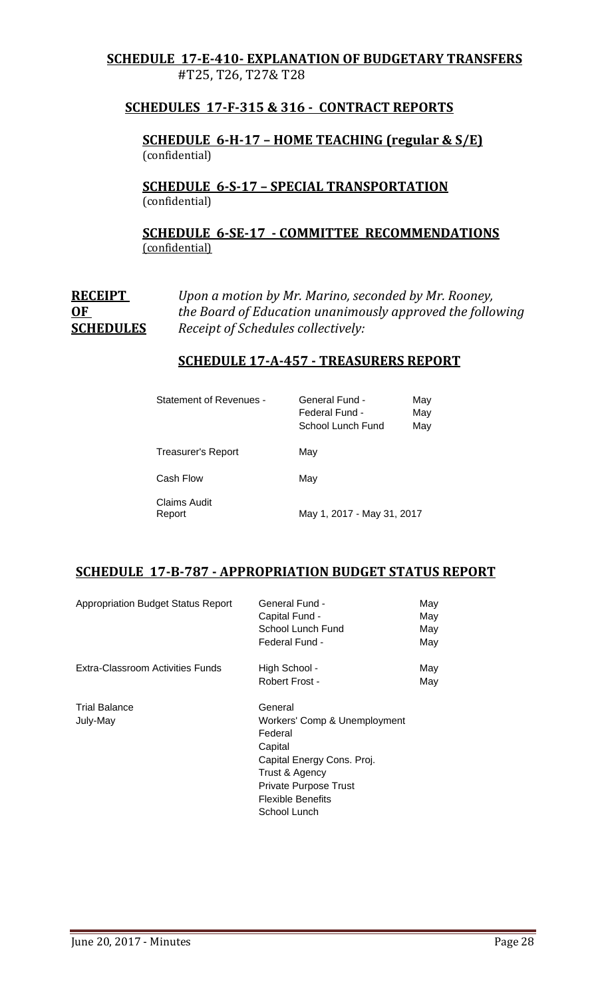## **SCHEDULE 17-E-410- EXPLANATION OF BUDGETARY TRANSFERS** #T25, T26, T27& T28

## **SCHEDULES 17-F-315 & 316 - CONTRACT REPORTS**

**SCHEDULE 6-H-17 – HOME TEACHING (regular & S/E)**  (confidential)

**SCHEDULE 6-S-17 – SPECIAL TRANSPORTATION**  (confidential)

## **SCHEDULE 6-SE-17 - COMMITTEE RECOMMENDATIONS** (confidential)

**RECEIPT** *Upon a motion by Mr. Marino, seconded by Mr. Rooney,* **OF** *the Board of Education unanimously approved the following* **SCHEDULES** *Receipt of Schedules collectively:*

## **SCHEDULE 17-A-457 - TREASURERS REPORT**

| Statement of Revenues - | General Fund -<br>Federal Fund -<br>School Lunch Fund | May<br>May<br>May |
|-------------------------|-------------------------------------------------------|-------------------|
| Treasurer's Report      | May                                                   |                   |
| Cash Flow               | May                                                   |                   |
| Claims Audit<br>Report  | May 1, 2017 - May 31, 2017                            |                   |

## **SCHEDULE 17-B-787 - APPROPRIATION BUDGET STATUS REPORT**

| <b>Appropriation Budget Status Report</b> | General Fund -<br>Capital Fund -<br>School Lunch Fund<br>Federal Fund -                                                                                                                   | May<br>May<br>May<br>May |
|-------------------------------------------|-------------------------------------------------------------------------------------------------------------------------------------------------------------------------------------------|--------------------------|
| Extra-Classroom Activities Funds          | High School -<br>Robert Frost -                                                                                                                                                           | May<br>May               |
| <b>Trial Balance</b><br>July-May          | General<br>Workers' Comp & Unemployment<br>Federal<br>Capital<br>Capital Energy Cons. Proj.<br>Trust & Agency<br><b>Private Purpose Trust</b><br><b>Flexible Benefits</b><br>School Lunch |                          |